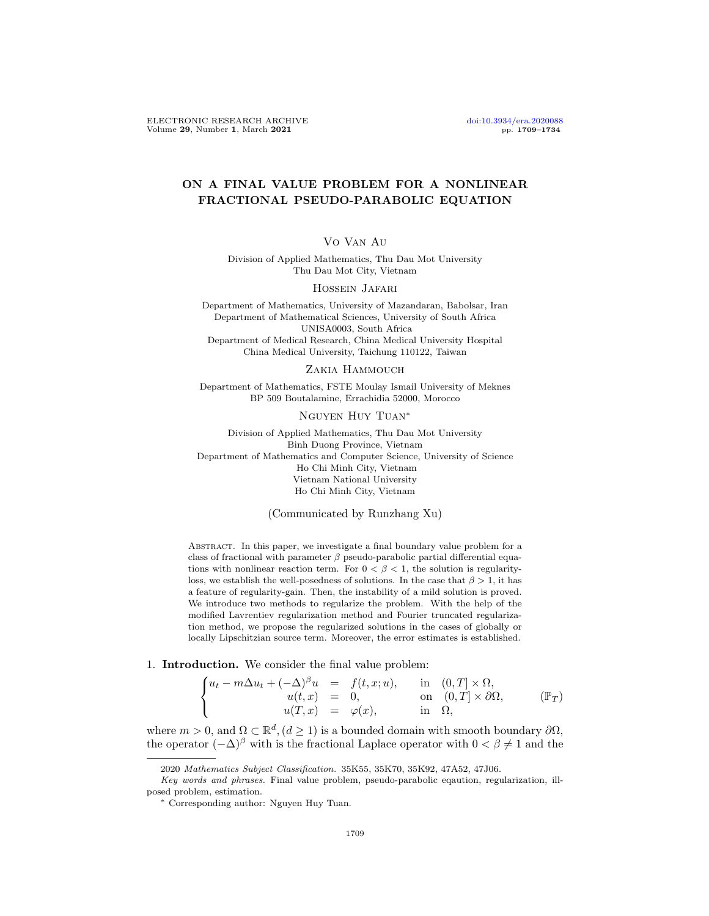## ON A FINAL VALUE PROBLEM FOR A NONLINEAR FRACTIONAL PSEUDO-PARABOLIC EQUATION

## Vo Van Au

Division of Applied Mathematics, Thu Dau Mot University Thu Dau Mot City, Vietnam

#### Hossein Jafari

Department of Mathematics, University of Mazandaran, Babolsar, Iran Department of Mathematical Sciences, University of South Africa UNISA0003, South Africa Department of Medical Research, China Medical University Hospital China Medical University, Taichung 110122, Taiwan

### Zakia Hammouch

Department of Mathematics, FSTE Moulay Ismail University of Meknes BP 509 Boutalamine, Errachidia 52000, Morocco

Nguyen Huy Tuan<sup>∗</sup>

Division of Applied Mathematics, Thu Dau Mot University Binh Duong Province, Vietnam Department of Mathematics and Computer Science, University of Science Ho Chi Minh City, Vietnam Vietnam National University Ho Chi Minh City, Vietnam

<span id="page-0-0"></span>(Communicated by Runzhang Xu)

ABSTRACT. In this paper, we investigate a final boundary value problem for a class of fractional with parameter  $\beta$  pseudo-parabolic partial differential equations with nonlinear reaction term. For  $0 < \beta < 1$ , the solution is regularityloss, we establish the well-posedness of solutions. In the case that  $\beta > 1$ , it has a feature of regularity-gain. Then, the instability of a mild solution is proved. We introduce two methods to regularize the problem. With the help of the modified Lavrentiev regularization method and Fourier truncated regularization method, we propose the regularized solutions in the cases of globally or locally Lipschitzian source term. Moreover, the error estimates is established.

### 1. Introduction. We consider the final value problem:

 $\bigcap$ J  $\mathcal{L}$  $u_t - m\Delta u_t + (-\Delta)^{\beta} u = f(t, x; u), \quad \text{in} \quad (0, T] \times \Omega,$  $u(t, x) = 0,$  on  $(0, T] \times \partial \Omega,$  $u(T, x) = \varphi(x), \quad \text{in} \quad \Omega,$  $(\mathbb{P}_T)$ 

where  $m > 0$ , and  $\Omega \subset \mathbb{R}^d$ ,  $(d \ge 1)$  is a bounded domain with smooth boundary  $\partial \Omega$ , the operator  $(-\Delta)^\beta$  with is the fractional Laplace operator with  $0 < \beta \neq 1$  and the

<sup>2020</sup> Mathematics Subject Classification. 35K55, 35K70, 35K92, 47A52, 47J06.

Key words and phrases. Final value problem, pseudo-parabolic eqaution, regularization, illposed problem, estimation.

<sup>∗</sup> Corresponding author: Nguyen Huy Tuan.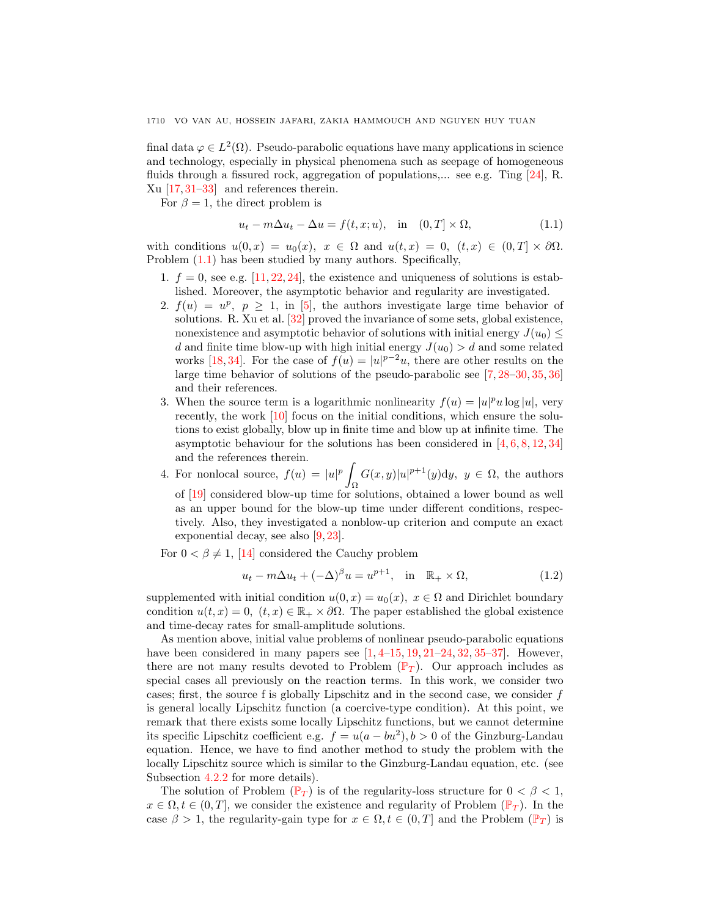final data  $\varphi \in L^2(\Omega)$ . Pseudo-parabolic equations have many applications in science and technology, especially in physical phenomena such as seepage of homogeneous fluids through a fissured rock, aggregation of populations,... see e.g. Ting [\[24\]](#page-25-0), R. Xu [\[17,](#page-24-0) [31–](#page-25-1)[33\]](#page-25-2) and references therein.

For  $\beta = 1$ , the direct problem is

<span id="page-1-0"></span>
$$
u_t - m\Delta u_t - \Delta u = f(t, x; u), \quad \text{in} \quad (0, T] \times \Omega,\tag{1.1}
$$

with conditions  $u(0, x) = u_0(x), x \in \Omega$  and  $u(t, x) = 0, (t, x) \in (0, T] \times \partial \Omega$ . Problem [\(1.1\)](#page-1-0) has been studied by many authors. Specifically,

- 1.  $f = 0$ , see e.g. [\[11,](#page-24-1) [22,](#page-25-3) [24\]](#page-25-0), the existence and uniqueness of solutions is established. Moreover, the asymptotic behavior and regularity are investigated.
- 2.  $f(u) = u^p$ ,  $p \ge 1$ , in [\[5\]](#page-24-2), the authors investigate large time behavior of solutions. R. Xu et al. [\[32\]](#page-25-4) proved the invariance of some sets, global existence, nonexistence and asymptotic behavior of solutions with initial energy  $J(u_0)$ d and finite time blow-up with high initial energy  $J(u_0) > d$  and some related works [\[18,](#page-24-3)[34\]](#page-25-5). For the case of  $f(u) = |u|^{p-2}u$ , there are other results on the large time behavior of solutions of the pseudo-parabolic see [\[7,](#page-24-4) [28](#page-25-6)[–30,](#page-25-7) [35,](#page-25-8) [36\]](#page-25-9) and their references.
- 3. When the source term is a logarithmic nonlinearity  $f(u) = |u|^p u \log |u|$ , very recently, the work [\[10\]](#page-24-5) focus on the initial conditions, which ensure the solutions to exist globally, blow up in finite time and blow up at infinite time. The asymptotic behaviour for the solutions has been considered in  $[4, 6, 8, 12, 34]$  $[4, 6, 8, 12, 34]$  $[4, 6, 8, 12, 34]$  $[4, 6, 8, 12, 34]$  $[4, 6, 8, 12, 34]$  $[4, 6, 8, 12, 34]$  $[4, 6, 8, 12, 34]$  $[4, 6, 8, 12, 34]$  $[4, 6, 8, 12, 34]$ and the references therein.
- 4. For nonlocal source,  $f(u) = |u|^p$ Ω  $G(x,y)|u|^{p+1}(y)dy, y \in \Omega$ , the authors of [\[19\]](#page-24-10) considered blow-up time for solutions, obtained a lower bound as well as an upper bound for the blow-up time under different conditions, respectively. Also, they investigated a nonblow-up criterion and compute an exact exponential decay, see also [\[9,](#page-24-11) [23\]](#page-25-10).

For  $0 < \beta \neq 1$ , [\[14\]](#page-24-12) considered the Cauchy problem

$$
u_t - m\Delta u_t + (-\Delta)^{\beta} u = u^{p+1}, \quad \text{in} \quad \mathbb{R}_+ \times \Omega,
$$
\n(1.2)

supplemented with initial condition  $u(0, x) = u_0(x), x \in \Omega$  and Dirichlet boundary condition  $u(t, x) = 0$ ,  $(t, x) \in \mathbb{R}_+ \times \partial\Omega$ . The paper established the global existence and time-decay rates for small-amplitude solutions.

As mention above, initial value problems of nonlinear pseudo-parabolic equations have been considered in many papers see  $[1, 4-15, 19, 21-24, 32, 35-37]$  $[1, 4-15, 19, 21-24, 32, 35-37]$  $[1, 4-15, 19, 21-24, 32, 35-37]$  $[1, 4-15, 19, 21-24, 32, 35-37]$  $[1, 4-15, 19, 21-24, 32, 35-37]$  $[1, 4-15, 19, 21-24, 32, 35-37]$  $[1, 4-15, 19, 21-24, 32, 35-37]$  $[1, 4-15, 19, 21-24, 32, 35-37]$  $[1, 4-15, 19, 21-24, 32, 35-37]$  $[1, 4-15, 19, 21-24, 32, 35-37]$  $[1, 4-15, 19, 21-24, 32, 35-37]$ . However, there are not many results devoted to [P](#page-0-0)roblem  $(\mathbb{P}_T)$ . Our approach includes as special cases all previously on the reaction terms. In this work, we consider two cases; first, the source f is globally Lipschitz and in the second case, we consider f is general locally Lipschitz function (a coercive-type condition). At this point, we remark that there exists some locally Lipschitz functions, but we cannot determine its specific Lipschitz coefficient e.g.  $f = u(a - bu^2), b > 0$  of the Ginzburg-Landau equation. Hence, we have to find another method to study the problem with the locally Lipschitz source which is similar to the Ginzburg-Landau equation, etc. (see Subsection [4.2.2](#page-19-0) for more details).

The solution of [P](#page-0-0)roblem  $(\mathbb{P}_T)$  is of the regularity-loss structure for  $0 < \beta < 1$ ,  $x \in \Omega, t \in (0,T],$  we consider the existence and regularity of [P](#page-0-0)roblem  $(\mathbb{P}_T)$ . In the case  $\beta > 1$ , the regularity-gain type for  $x \in \Omega$ ,  $t \in (0, T]$  and the [P](#page-0-0)roblem  $(\mathbb{P}_T)$  is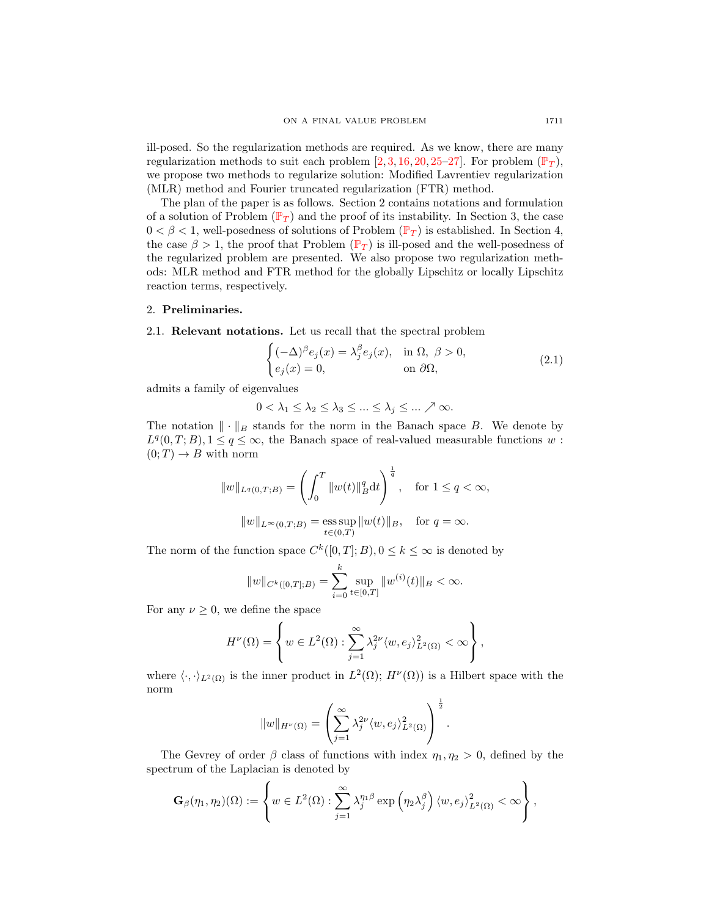ill-posed. So the regularization methods are required. As we know, there are many regularization methods to suit each problem  $[2, 3, 16, 20, 25-27]$  $[2, 3, 16, 20, 25-27]$  $[2, 3, 16, 20, 25-27]$  $[2, 3, 16, 20, 25-27]$  $[2, 3, 16, 20, 25-27]$  $[2, 3, 16, 20, 25-27]$  $[2, 3, 16, 20, 25-27]$  $[2, 3, 16, 20, 25-27]$  $[2, 3, 16, 20, 25-27]$ . For problem  $(\mathbb{P}_T)$  $(\mathbb{P}_T)$  $(\mathbb{P}_T)$ , we propose two methods to regularize solution: Modified Lavrentiev regularization (MLR) method and Fourier truncated regularization (FTR) method.

The plan of the paper is as follows. Section 2 contains notations and formulation of a solution of [P](#page-0-0)roblem ( $\mathbb{P}_T$ ) and the proof of its instability. In Section 3, the case  $0 < \beta < 1$ , well-posedness of solutions of [P](#page-0-0)roblem ( $\mathbb{P}_T$ ) is established. In Section 4, the case  $\beta > 1$ , the proof that [P](#page-0-0)roblem ( $\mathbb{P}_T$ ) is ill-posed and the well-posedness of the regularized problem are presented. We also propose two regularization methods: MLR method and FTR method for the globally Lipschitz or locally Lipschitz reaction terms, respectively.

### 2. Preliminaries.

2.1. Relevant notations. Let us recall that the spectral problem

$$
\begin{cases} (-\Delta)^{\beta} e_j(x) = \lambda_j^{\beta} e_j(x), & \text{in } \Omega, \ \beta > 0, \\ e_j(x) = 0, & \text{on } \partial\Omega, \end{cases}
$$
 (2.1)

admits a family of eigenvalues

$$
0 < \lambda_1 \leq \lambda_2 \leq \lambda_3 \leq \ldots \leq \lambda_j \leq \ldots \nearrow \infty.
$$

The notation  $\|\cdot\|_B$  stands for the norm in the Banach space B. We denote by  $L^q(0,T;B), 1 \leq q \leq \infty$ , the Banach space of real-valued measurable functions w:  $(0; T) \rightarrow B$  with norm

$$
||w||_{L^{q}(0,T;B)} = \left(\int_{0}^{T} ||w(t)||_{B}^{q} dt\right)^{\frac{1}{q}}, \text{ for } 1 \le q < \infty,
$$
  

$$
||w||_{L^{\infty}(0,T;B)} = \underset{t \in (0,T)}{\text{ess sup}} ||w(t)||_{B}, \text{ for } q = \infty.
$$

The norm of the function space  $C^k([0,T];B)$ ,  $0 \le k \le \infty$  is denoted by

$$
||w||_{C^{k}([0,T];B)} = \sum_{i=0}^{k} \sup_{t \in [0,T]} ||w^{(i)}(t)||_{B} < \infty.
$$

For any  $\nu \geq 0$ , we define the space

$$
H^{\nu}(\Omega) = \left\{ w \in L^{2}(\Omega) : \sum_{j=1}^{\infty} \lambda_{j}^{2\nu} \langle w, e_{j} \rangle_{L^{2}(\Omega)}^{2} < \infty \right\},\,
$$

where  $\langle \cdot, \cdot \rangle_{L^2(\Omega)}$  is the inner product in  $L^2(\Omega)$ ;  $H^{\nu}(\Omega)$  is a Hilbert space with the norm

$$
||w||_{H^{\nu}(\Omega)} = \left(\sum_{j=1}^{\infty} \lambda_j^{2\nu} \langle w, e_j \rangle_{L^2(\Omega)}^2\right)^{\frac{1}{2}}.
$$

The Gevrey of order  $\beta$  class of functions with index  $\eta_1, \eta_2 > 0$ , defined by the spectrum of the Laplacian is denoted by

$$
\mathbf{G}_{\beta}(\eta_1, \eta_2)(\Omega) := \left\{ w \in L^2(\Omega) : \sum_{j=1}^{\infty} \lambda_j^{\eta_1 \beta} \exp \left( \eta_2 \lambda_j^{\beta} \right) \langle w, e_j \rangle_{L^2(\Omega)}^2 < \infty \right\},\
$$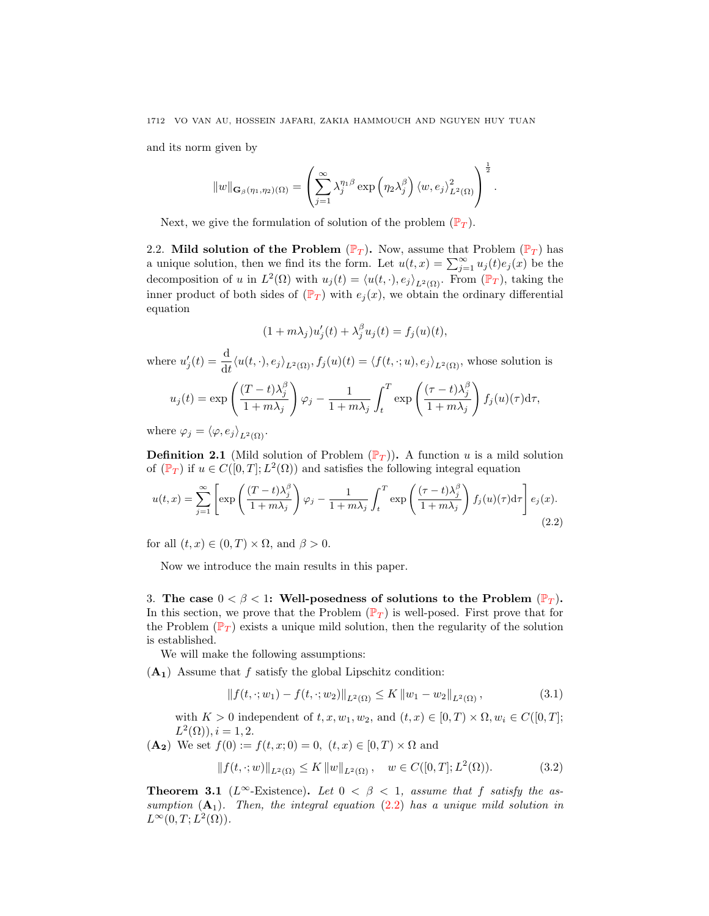and its norm given by

$$
||w||_{\mathbf{G}_{\beta}(\eta_1,\eta_2)(\Omega)} = \left(\sum_{j=1}^{\infty} \lambda_j^{\eta_1\beta} \exp\left(\eta_2\lambda_j^{\beta}\right) \langle w,e_j\rangle_{L^2(\Omega)}^2\right)^{\frac{1}{2}}.
$$

Next, we give the formulation of solution of the problem  $(\mathbb{P}_T)$  $(\mathbb{P}_T)$  $(\mathbb{P}_T)$ .

2.2. Mild solution of the [P](#page-0-0)roblem  $(\mathbb{P}_T)$ . Now, assume that Problem  $(\mathbb{P}_T)$  has a unique solution, then we find its the form. Let  $u(t,x) = \sum_{j=1}^{\infty} u_j(t) e_j(x)$  be the decomposition of u in  $L^2(\Omega)$  with  $u_j(t) = \langle u(t, \cdot), e_j \rangle_{L^2(\Omega)}$ . From  $(\mathbb{P}_T)$  $(\mathbb{P}_T)$  $(\mathbb{P}_T)$ , taking the inner product of both sides of  $(\mathbb{P}_T)$  $(\mathbb{P}_T)$  $(\mathbb{P}_T)$  with  $e_i(x)$ , we obtain the ordinary differential equation

<span id="page-3-0"></span>
$$
(1 + m\lambda_j)u'_j(t) + \lambda_j^{\beta}u_j(t) = f_j(u)(t),
$$

where  $u'_j(t) = \frac{d}{dt} \langle u(t, \cdot), e_j \rangle_{L^2(\Omega)}, f_j(u)(t) = \langle f(t, \cdot; u), e_j \rangle_{L^2(\Omega)},$  whose solution is  $u_j(t) = \exp\left(\frac{(T-t)\lambda_j^{\beta}}{1+\mu}\right)$  $1 + m\lambda_j$  $\setminus$  $\varphi_j - \frac{1}{1+z}$  $1 + m\lambda_j$  $\int_0^T$ t  $\exp\left(\frac{(\tau-t)\lambda_j^{\beta}}{1-\lambda}\right)$  $1 + m\lambda_j$  $\setminus$  $f_j(u)(\tau) d\tau,$ 

where  $\varphi_j = \langle \varphi, e_j \rangle_{L^2(\Omega)}$ .

**Definition 2.1** (Mild solution of [P](#page-0-0)roblem  $(\mathbb{P}_T)$ ). A function u is a mild solution of  $(\mathbb{P}_T)$  $(\mathbb{P}_T)$  $(\mathbb{P}_T)$  if  $u \in C([0,T]; L^2(\Omega))$  and satisfies the following integral equation

$$
u(t,x) = \sum_{j=1}^{\infty} \left[ \exp\left(\frac{(T-t)\lambda_j^{\beta}}{1+m\lambda_j}\right) \varphi_j - \frac{1}{1+m\lambda_j} \int_t^T \exp\left(\frac{(\tau-t)\lambda_j^{\beta}}{1+m\lambda_j}\right) f_j(u)(\tau) d\tau \right] e_j(x).
$$
\n(2.2)

for all  $(t, x) \in (0, T) \times \Omega$ , and  $\beta > 0$ .

Now we introduce the main results in this paper.

3. The case  $0 < \beta < 1$ : Well-posedness of solutions to the [P](#page-0-0)roblem  $(\mathbb{P}_T)$ . In this section, we prove that the [P](#page-0-0)roblem  $(\mathbb{P}_T)$  is well-posed. First prove that for the [P](#page-0-0)roblem ( $\mathbb{P}_T$ ) exists a unique mild solution, then the regularity of the solution is established.

We will make the following assumptions:

 $(A_1)$  Assume that f satisfy the global Lipschitz condition:

<span id="page-3-1"></span>
$$
|| f(t, \cdot; w_1) - f(t, \cdot; w_2)||_{L^2(\Omega)} \le K ||w_1 - w_2||_{L^2(\Omega)},
$$
\n(3.1)

with  $K > 0$  independent of  $t, x, w_1, w_2$ , and  $(t, x) \in [0, T] \times \Omega, w_i \in C([0, T];$  $L^2(\Omega), i = 1, 2.$ 

 $(A_2)$  We set  $f(0) := f(t, x; 0) = 0$ ,  $(t, x) \in [0, T] \times \Omega$  and

$$
|| f(t, \cdot; w) ||_{L^{2}(\Omega)} \leq K ||w||_{L^{2}(\Omega)}, \quad w \in C([0, T]; L^{2}(\Omega)).
$$
 (3.2)

**Theorem 3.1** (L<sup>∞</sup>-Existence). Let  $0 < \beta < 1$ , assume that f satisfy the assumption  $(A_1)$ . Then, the integral equation [\(2.2\)](#page-3-0) has a unique mild solution in  $L^{\infty}(0,T;L^{2}(\Omega)).$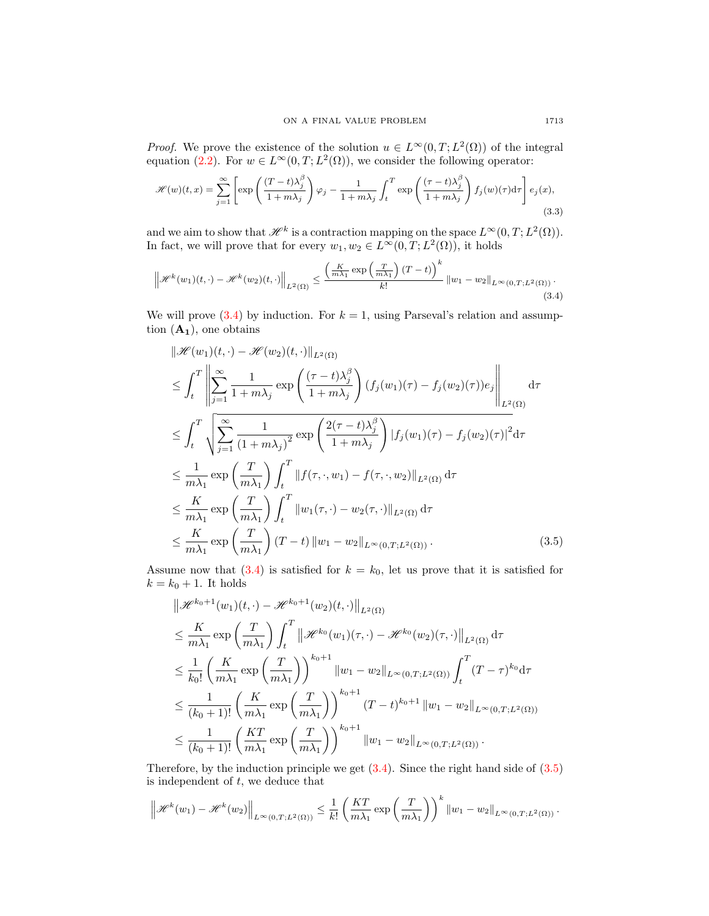*Proof.* We prove the existence of the solution  $u \in L^{\infty}(0,T; L^{2}(\Omega))$  of the integral equation [\(2.2\)](#page-3-0). For  $w \in L^{\infty}(0,T; L^{2}(\Omega))$ , we consider the following operator:

<span id="page-4-2"></span>
$$
\mathcal{H}(w)(t,x) = \sum_{j=1}^{\infty} \left[ \exp\left(\frac{(T-t)\lambda_j^{\beta}}{1+m\lambda_j}\right) \varphi_j - \frac{1}{1+m\lambda_j} \int_t^T \exp\left(\frac{(\tau-t)\lambda_j^{\beta}}{1+m\lambda_j}\right) f_j(w)(\tau) d\tau \right] e_j(x),\tag{3.3}
$$

and we aim to show that  $\mathscr{H}^k$  is a contraction mapping on the space  $L^{\infty}(0,T;L^2(\Omega)).$ In fact, we will prove that for every  $w_1, w_2 \in L^{\infty}(0,T; L^2(\Omega))$ , it holds

$$
\left\|\mathcal{H}^{k}(w_{1})(t,\cdot)-\mathcal{H}^{k}(w_{2})(t,\cdot)\right\|_{L^{2}(\Omega)} \leq \frac{\left(\frac{K}{m\lambda_{1}}\exp\left(\frac{T}{m\lambda_{1}}\right)(T-t)\right)^{k}}{k!}\left\|w_{1}-w_{2}\right\|_{L^{\infty}(0,T;L^{2}(\Omega))}.
$$
\n(3.4)

We will prove  $(3.4)$  by induction. For  $k = 1$ , using Parseval's relation and assumption  $(A_1)$ , one obtains

<span id="page-4-0"></span>
$$
\|\mathcal{H}(w_1)(t,\cdot) - \mathcal{H}(w_2)(t,\cdot)\|_{L^2(\Omega)}
$$
\n
$$
\leq \int_t^T \left\| \sum_{j=1}^\infty \frac{1}{1+m\lambda_j} \exp\left(\frac{(\tau-t)\lambda_j^\beta}{1+m\lambda_j}\right) (f_j(w_1)(\tau) - f_j(w_2)(\tau))e_j \right\|_{L^2(\Omega)}
$$
\n
$$
\leq \int_t^T \sqrt{\sum_{j=1}^\infty \frac{1}{(1+m\lambda_j)^2} \exp\left(\frac{2(\tau-t)\lambda_j^\beta}{1+m\lambda_j}\right) |f_j(w_1)(\tau) - f_j(w_2)(\tau)|^2 d\tau}
$$
\n
$$
\leq \frac{1}{m\lambda_1} \exp\left(\frac{T}{m\lambda_1}\right) \int_t^T \|f(\tau,\cdot,w_1) - f(\tau,\cdot,w_2)\|_{L^2(\Omega)} d\tau
$$
\n
$$
\leq \frac{K}{m\lambda_1} \exp\left(\frac{T}{m\lambda_1}\right) \int_t^T \|w_1(\tau,\cdot) - w_2(\tau,\cdot)\|_{L^2(\Omega)} d\tau
$$
\n
$$
\leq \frac{K}{m\lambda_1} \exp\left(\frac{T}{m\lambda_1}\right) (T-t) \|w_1 - w_2\|_{L^\infty(0,T;L^2(\Omega))}.
$$
\n(3.5)

Assume now that [\(3.4\)](#page-4-0) is satisfied for  $k = k_0$ , let us prove that it is satisfied for  $k = k_0 + 1$ . It holds

<span id="page-4-1"></span>
$$
\|\mathcal{H}^{k_{0}+1}(w_{1})(t,\cdot)-\mathcal{H}^{k_{0}+1}(w_{2})(t,\cdot)\|_{L^{2}(\Omega)}
$$
\n
$$
\leq \frac{K}{m\lambda_{1}}\exp\left(\frac{T}{m\lambda_{1}}\right)\int_{t}^{T}\|\mathcal{H}^{k_{0}}(w_{1})(\tau,\cdot)-\mathcal{H}^{k_{0}}(w_{2})(\tau,\cdot)\|_{L^{2}(\Omega)}d\tau
$$
\n
$$
\leq \frac{1}{k_{0}!}\left(\frac{K}{m\lambda_{1}}\exp\left(\frac{T}{m\lambda_{1}}\right)\right)^{k_{0}+1}\|w_{1}-w_{2}\|_{L^{\infty}(0,T;L^{2}(\Omega))}\int_{t}^{T}(T-\tau)^{k_{0}}d\tau
$$
\n
$$
\leq \frac{1}{(k_{0}+1)!}\left(\frac{K}{m\lambda_{1}}\exp\left(\frac{T}{m\lambda_{1}}\right)\right)^{k_{0}+1}(T-t)^{k_{0}+1}\|w_{1}-w_{2}\|_{L^{\infty}(0,T;L^{2}(\Omega))}
$$
\n
$$
\leq \frac{1}{(k_{0}+1)!}\left(\frac{KT}{m\lambda_{1}}\exp\left(\frac{T}{m\lambda_{1}}\right)\right)^{k_{0}+1}\|w_{1}-w_{2}\|_{L^{\infty}(0,T;L^{2}(\Omega))}.
$$

Therefore, by the induction principle we get  $(3.4)$ . Since the right hand side of  $(3.5)$ is independent of  $t$ , we deduce that

$$
\left\|\mathcal{H}^{k}(w_1)-\mathcal{H}^{k}(w_2)\right\|_{L^{\infty}(0,T;L^2(\Omega))}\leq \frac{1}{k!}\left(\frac{KT}{m\lambda_1}\exp\left(\frac{T}{m\lambda_1}\right)\right)^{k} \|w_1-w_2\|_{L^{\infty}(0,T;L^2(\Omega))}.
$$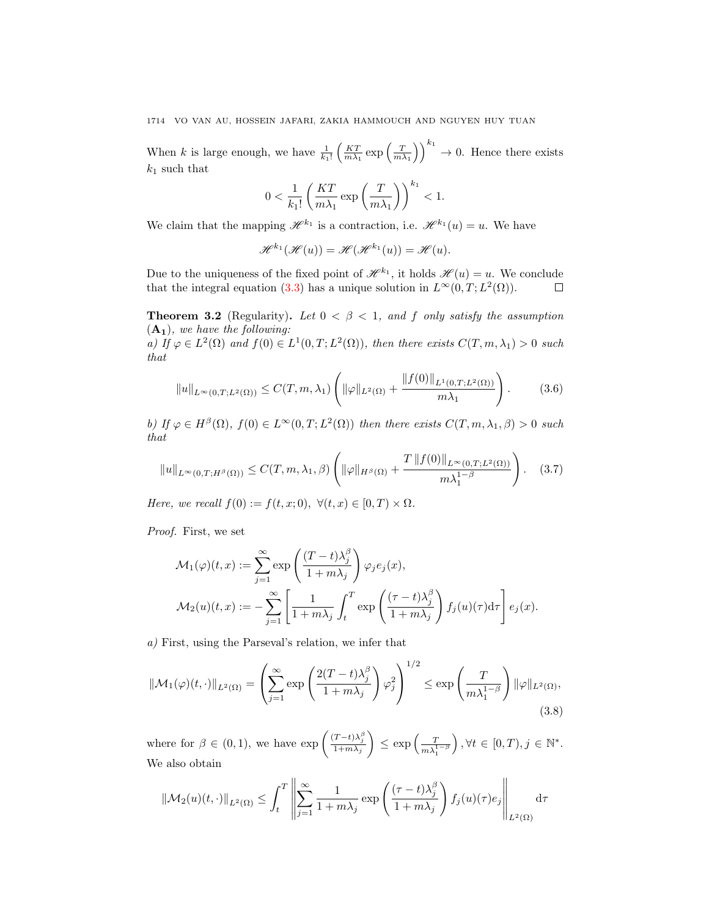When k is large enough, we have  $\frac{1}{k_1!} \left( \frac{KT}{m\lambda_1} \exp\left(\frac{T}{m\lambda_1}\right) \right)^{k_1} \to 0$ . Hence there exists  $k_1$  such that

$$
0 < \frac{1}{k_1!} \left( \frac{KT}{m\lambda_1} \exp\left(\frac{T}{m\lambda_1}\right) \right)^{k_1} < 1.
$$

We claim that the mapping  $\mathscr{H}^{k_1}$  is a contraction, i.e.  $\mathscr{H}^{k_1}(u) = u$ . We have

<span id="page-5-2"></span><span id="page-5-1"></span>
$$
\mathscr{H}^{k_1}(\mathscr{H}(u)) = \mathscr{H}(\mathscr{H}^{k_1}(u)) = \mathscr{H}(u).
$$

Due to the uniqueness of the fixed point of  $\mathscr{H}^{k_1}$ , it holds  $\mathscr{H}(u) = u$ . We conclude that the integral equation [\(3.3\)](#page-4-2) has a unique solution in  $L^{\infty}(0,T;L^{2}(\Omega))$ .  $\Box$ 

**Theorem 3.2** (Regularity). Let  $0 < \beta < 1$ , and f only satisfy the assumption  $(A_1)$ , we have the following:

a) If  $\varphi \in L^2(\Omega)$  and  $f(0) \in L^1(0,T;L^2(\Omega))$ , then there exists  $C(T,m,\lambda_1) > 0$  such that

$$
||u||_{L^{\infty}(0,T;L^{2}(\Omega))} \leq C(T,m,\lambda_{1}) \left( ||\varphi||_{L^{2}(\Omega)} + \frac{||f(0)||_{L^{1}(0,T;L^{2}(\Omega))}}{m\lambda_{1}} \right). \tag{3.6}
$$

b) If  $\varphi \in H^{\beta}(\Omega)$ ,  $f(0) \in L^{\infty}(0,T; L^{2}(\Omega))$  then there exists  $C(T, m, \lambda_1, \beta) > 0$  such that

$$
||u||_{L^{\infty}(0,T;H^{\beta}(\Omega))} \leq C(T,m,\lambda_1,\beta) \left( ||\varphi||_{H^{\beta}(\Omega)} + \frac{T ||f(0)||_{L^{\infty}(0,T;L^2(\Omega))}}{m\lambda_1^{1-\beta}} \right). \quad (3.7)
$$

Here, we recall  $f(0) := f(t, x; 0), \ \forall (t, x) \in [0, T) \times \Omega.$ 

Proof. First, we set

$$
\mathcal{M}_1(\varphi)(t,x) := \sum_{j=1}^{\infty} \exp\left(\frac{(T-t)\lambda_j^{\beta}}{1+m\lambda_j}\right) \varphi_j e_j(x),
$$
  

$$
\mathcal{M}_2(u)(t,x) := -\sum_{j=1}^{\infty} \left[\frac{1}{1+m\lambda_j} \int_t^T \exp\left(\frac{(\tau-t)\lambda_j^{\beta}}{1+m\lambda_j}\right) f_j(u)(\tau) d\tau\right] e_j(x).
$$

a) First, using the Parseval's relation, we infer that

$$
\|\mathcal{M}_1(\varphi)(t,\cdot)\|_{L^2(\Omega)} = \left(\sum_{j=1}^{\infty} \exp\left(\frac{2(T-t)\lambda_j^{\beta}}{1+m\lambda_j}\right) \varphi_j^2\right)^{1/2} \le \exp\left(\frac{T}{m\lambda_1^{1-\beta}}\right) \|\varphi\|_{L^2(\Omega)},\tag{3.8}
$$

where for  $\beta \in (0,1)$ , we have  $\exp\left(\frac{(T-t)\lambda_j^{\beta}}{1+m\lambda_j}\right)$  $\Big) \leq \exp \Big( \frac{T}{m \lambda_1^{1-\beta}}$  $\big), \forall t \in [0, T), j \in \mathbb{N}^*.$ We also obtain

<span id="page-5-0"></span>
$$
\|\mathcal{M}_2(u)(t,\cdot)\|_{L^2(\Omega)} \le \int_t^T \left\|\sum_{j=1}^\infty \frac{1}{1+m\lambda_j} \exp\left(\frac{(\tau-t)\lambda_j^{\beta}}{1+m\lambda_j}\right) f_j(u)(\tau) e_j\right\|_{L^2(\Omega)} d\tau
$$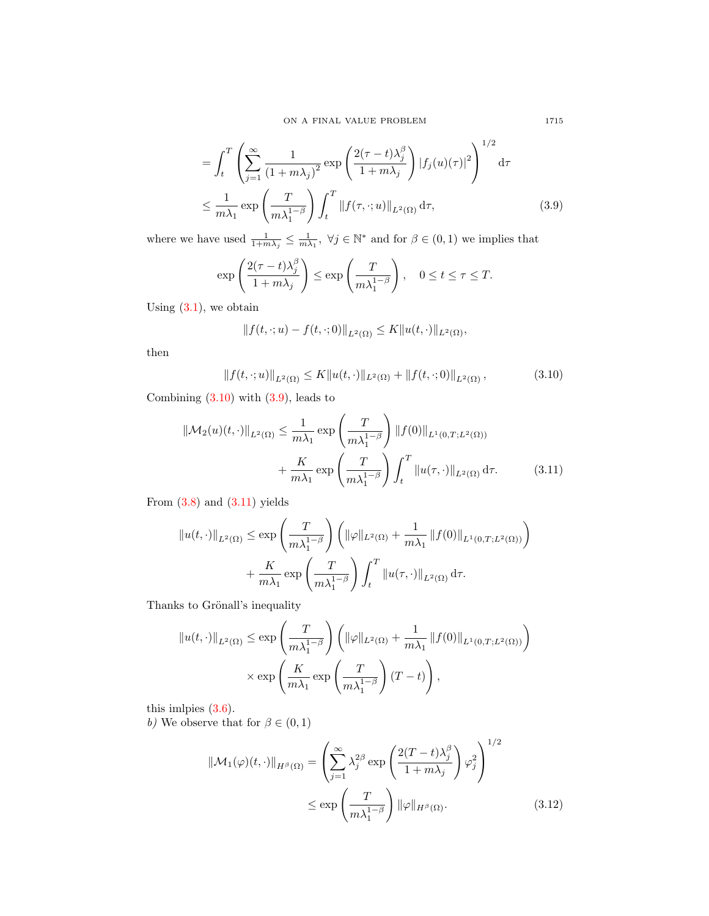ON A FINAL VALUE PROBLEM 1715

$$
= \int_{t}^{T} \left( \sum_{j=1}^{\infty} \frac{1}{(1 + m\lambda_{j})^{2}} \exp\left(\frac{2(\tau - t)\lambda_{j}^{\beta}}{1 + m\lambda_{j}}\right) |f_{j}(u)(\tau)|^{2} \right)^{1/2} d\tau
$$
  

$$
\leq \frac{1}{m\lambda_{1}} \exp\left(\frac{T}{m\lambda_{1}^{1-\beta}}\right) \int_{t}^{T} ||f(\tau, \cdot; u)||_{L^{2}(\Omega)} d\tau,
$$
 (3.9)

where we have used  $\frac{1}{1+m\lambda_j} \leq \frac{1}{m\lambda_1}$ ,  $\forall j \in \mathbb{N}^*$  and for  $\beta \in (0,1)$  we implies that

$$
\exp\left(\frac{2(\tau-t)\lambda_j^{\beta}}{1+m\lambda_j}\right) \le \exp\left(\frac{T}{m\lambda_1^{1-\beta}}\right), \quad 0 \le t \le \tau \le T.
$$

Using  $(3.1)$ , we obtain

<span id="page-6-2"></span>
$$
|| f(t, \cdot; u) - f(t, \cdot; 0)||_{L^2(\Omega)} \leq K||u(t, \cdot)||_{L^2(\Omega)},
$$

then

$$
||f(t,\cdot;u)||_{L^{2}(\Omega)} \leq K||u(t,\cdot)||_{L^{2}(\Omega)} + ||f(t,\cdot;0)||_{L^{2}(\Omega)},
$$
\n(3.10)

Combining  $(3.10)$  with  $(3.9)$ , leads to

$$
\|\mathcal{M}_2(u)(t,\cdot)\|_{L^2(\Omega)} \le \frac{1}{m\lambda_1} \exp\left(\frac{T}{m\lambda_1^{1-\beta}}\right) \|f(0)\|_{L^1(0,T;L^2(\Omega))}
$$

$$
+ \frac{K}{m\lambda_1} \exp\left(\frac{T}{m\lambda_1^{1-\beta}}\right) \int_t^T \|u(\tau,\cdot)\|_{L^2(\Omega)} d\tau. \tag{3.11}
$$

From  $(3.8)$  and  $(3.11)$  yields

$$
\|u(t,\cdot)\|_{L^2(\Omega)} \le \exp\left(\frac{T}{m\lambda_1^{1-\beta}}\right) \left(\|\varphi\|_{L^2(\Omega)} + \frac{1}{m\lambda_1} \|f(0)\|_{L^1(0,T;L^2(\Omega))}\right) + \frac{K}{m\lambda_1} \exp\left(\frac{T}{m\lambda_1^{1-\beta}}\right) \int_t^T \|u(\tau,\cdot)\|_{L^2(\Omega)} d\tau.
$$

Thanks to Grönall's inequality

$$
||u(t, \cdot)||_{L^{2}(\Omega)} \le \exp\left(\frac{T}{m\lambda_{1}^{1-\beta}}\right) \left(||\varphi||_{L^{2}(\Omega)} + \frac{1}{m\lambda_{1}} ||f(0)||_{L^{1}(0,T;L^{2}(\Omega))}\right) \times \exp\left(\frac{K}{m\lambda_{1}} \exp\left(\frac{T}{m\lambda_{1}^{1-\beta}}\right)(T-t)\right),
$$

this imlpies [\(3.6\)](#page-5-1).

b) We observe that for  $\beta \in (0,1)$ 

<span id="page-6-3"></span>
$$
\|\mathcal{M}_1(\varphi)(t,\cdot)\|_{H^{\beta}(\Omega)} = \left(\sum_{j=1}^{\infty} \lambda_j^{2\beta} \exp\left(\frac{2(T-t)\lambda_j^{\beta}}{1+m\lambda_j}\right) \varphi_j^2\right)^{1/2}
$$

$$
\leq \exp\left(\frac{T}{m\lambda_1^{1-\beta}}\right) \|\varphi\|_{H^{\beta}(\Omega)}.
$$
(3.12)

<span id="page-6-1"></span><span id="page-6-0"></span>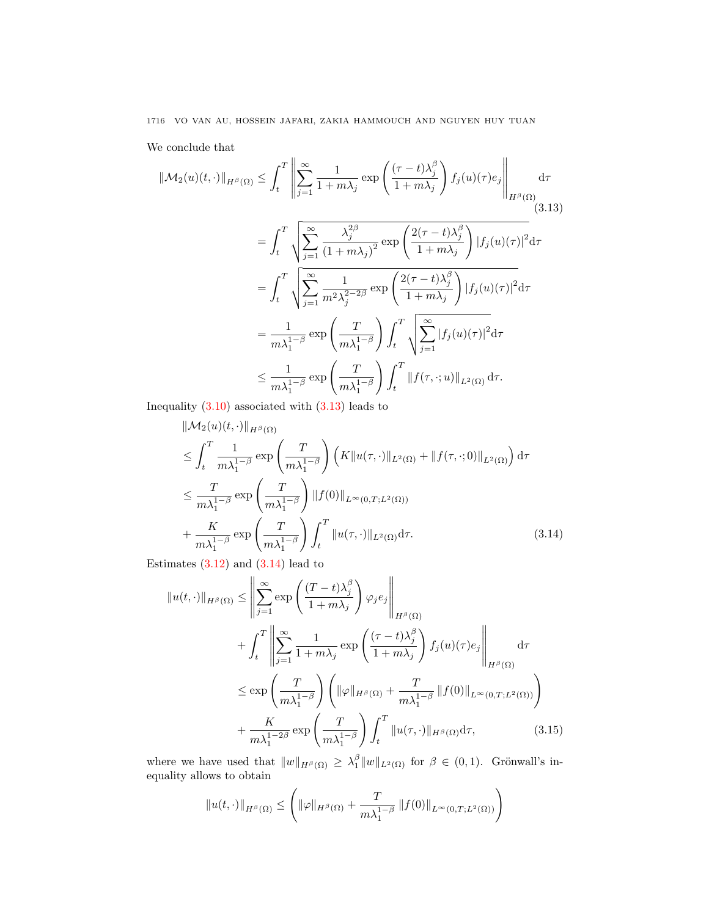We conclude that

<span id="page-7-0"></span>
$$
\|\mathcal{M}_2(u)(t,\cdot)\|_{H^{\beta}(\Omega)} \leq \int_t^T \left\| \sum_{j=1}^\infty \frac{1}{1+m\lambda_j} \exp\left(\frac{(\tau-t)\lambda_j^{\beta}}{1+m\lambda_j}\right) f_j(u)(\tau) e_j \right\|_{H^{\beta}(\Omega)}
$$
  
\n
$$
= \int_t^T \sqrt{\sum_{j=1}^\infty \frac{\lambda_j^{2\beta}}{(1+m\lambda_j)^2}} \exp\left(\frac{2(\tau-t)\lambda_j^{\beta}}{1+m\lambda_j}\right) |f_j(u)(\tau)|^2 d\tau
$$
  
\n
$$
= \int_t^T \sqrt{\sum_{j=1}^\infty \frac{1}{m^2\lambda_j^{2-2\beta}} \exp\left(\frac{2(\tau-t)\lambda_j^{\beta}}{1+m\lambda_j}\right) |f_j(u)(\tau)|^2 d\tau}
$$
  
\n
$$
= \frac{1}{m\lambda_1^{1-\beta}} \exp\left(\frac{T}{m\lambda_1^{1-\beta}}\right) \int_t^T \sqrt{\sum_{j=1}^\infty |f_j(u)(\tau)|^2 d\tau}
$$
  
\n
$$
\leq \frac{1}{m\lambda_1^{1-\beta}} \exp\left(\frac{T}{m\lambda_1^{1-\beta}}\right) \int_t^T \|f(\tau, \cdot; u)\|_{L^2(\Omega)} d\tau.
$$

Inequality  $(3.10)$  associated with  $(3.13)$  leads to

$$
\|\mathcal{M}_2(u)(t,\cdot)\|_{H^{\beta}(\Omega)}
$$
\n
$$
\leq \int_t^T \frac{1}{m\lambda_1^{1-\beta}} \exp\left(\frac{T}{m\lambda_1^{1-\beta}}\right) \left(K\|u(\tau,\cdot)\|_{L^2(\Omega)} + \|f(\tau,\cdot;0)\|_{L^2(\Omega)}\right) d\tau
$$
\n
$$
\leq \frac{T}{m\lambda_1^{1-\beta}} \exp\left(\frac{T}{m\lambda_1^{1-\beta}}\right) \|f(0)\|_{L^{\infty}(0,T;L^2(\Omega))}
$$
\n
$$
+ \frac{K}{m\lambda_1^{1-\beta}} \exp\left(\frac{T}{m\lambda_1^{1-\beta}}\right) \int_t^T \|u(\tau,\cdot)\|_{L^2(\Omega)} d\tau.
$$
\n(3.14)

Estimates  $(3.12)$  and  $(3.14)$  lead to

<span id="page-7-1"></span>
$$
\|u(t,\cdot)\|_{H^{\beta}(\Omega)} \leq \left\| \sum_{j=1}^{\infty} \exp\left(\frac{(T-t)\lambda_j^{\beta}}{1+m\lambda_j}\right) \varphi_j e_j \right\|_{H^{\beta}(\Omega)}
$$
  
+ 
$$
\int_t^T \left\| \sum_{j=1}^{\infty} \frac{1}{1+m\lambda_j} \exp\left(\frac{(\tau-t)\lambda_j^{\beta}}{1+m\lambda_j}\right) f_j(u)(\tau) e_j \right\|_{H^{\beta}(\Omega)}
$$
  

$$
\leq \exp\left(\frac{T}{m\lambda_1^{1-\beta}}\right) \left(\|\varphi\|_{H^{\beta}(\Omega)} + \frac{T}{m\lambda_1^{1-\beta}} \|f(0)\|_{L^{\infty}(0,T;L^2(\Omega))}\right)
$$
  
+ 
$$
\frac{K}{m\lambda_1^{1-2\beta}} \exp\left(\frac{T}{m\lambda_1^{1-\beta}}\right) \int_t^T \|u(\tau,\cdot)\|_{H^{\beta}(\Omega)} d\tau,
$$
(3.15)

where we have used that  $||w||_{H^{\beta}(\Omega)} \geq \lambda_1^{\beta} ||w||_{L^2(\Omega)}$  for  $\beta \in (0,1)$ . Grönwall's inequality allows to obtain

$$
||u(t, \cdot)||_{H^{\beta}(\Omega)} \leq \left( ||\varphi||_{H^{\beta}(\Omega)} + \frac{T}{m\lambda_1^{1-\beta}} ||f(0)||_{L^{\infty}(0,T;L^2(\Omega))} \right)
$$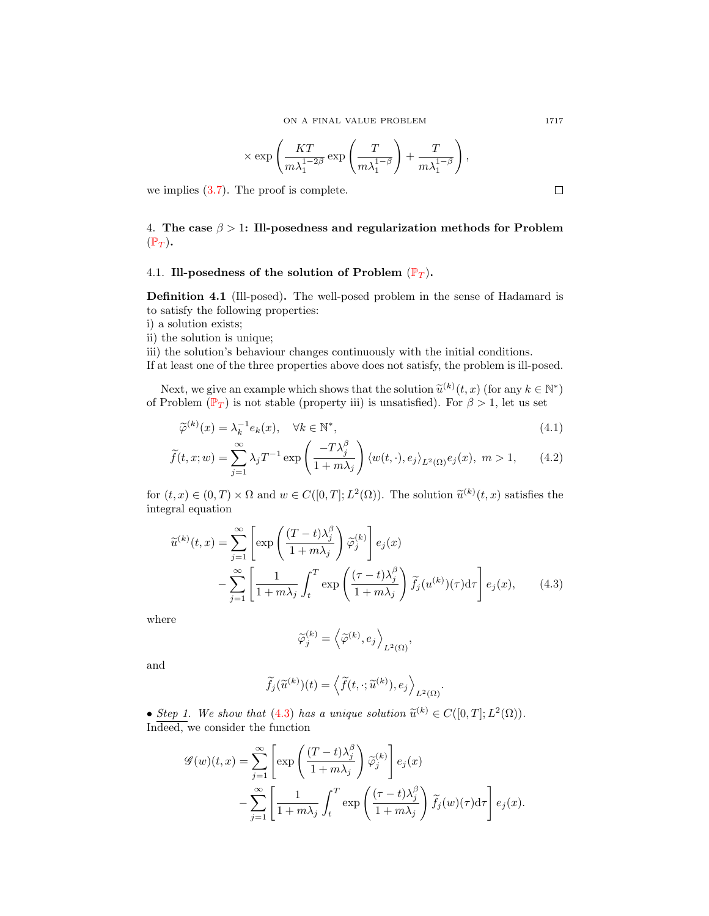$$
\times \exp \left( \frac{KT}{m\lambda_1^{1-2\beta}} \exp \left( \frac{T}{m\lambda_1^{1-\beta}} \right) + \frac{T}{m\lambda_1^{1-\beta}} \right),
$$

we implies [\(3.7\)](#page-5-2). The proof is complete.

4. The case  $\beta > 1$ : Ill-posedness and regularization methods for Problem  $(\mathbb{P}_T)$  $(\mathbb{P}_T)$  $(\mathbb{P}_T)$ .

## 4.1. Ill-posedness of the solution of [P](#page-0-0)roblem  $(\mathbb{P}_T)$ .

Definition 4.1 (Ill-posed). The well-posed problem in the sense of Hadamard is to satisfy the following properties:

- i) a solution exists;
- ii) the solution is unique;

iii) the solution's behaviour changes continuously with the initial conditions.

If at least one of the three properties above does not satisfy, the problem is ill-posed.

Next, we give an example which shows that the solution  $\tilde{u}^{(k)}(t, x)$  (for any  $k \in \mathbb{N}^*$ )<br>Problem  $(\mathbb{R}_+)$  is not stable (property iii) is upsatisfied). For  $\beta > 1$  let us set of [P](#page-0-0)roblem  $(\mathbb{P}_T)$  is not stable (property iii) is unsatisfied). For  $\beta > 1$ , let us set

$$
\widetilde{\varphi}^{(k)}(x) = \lambda_k^{-1} e_k(x), \quad \forall k \in \mathbb{N}^*,
$$
\n(4.1)

$$
\widetilde{f}(t,x;w) = \sum_{j=1}^{\infty} \lambda_j T^{-1} \exp\left(\frac{-T\lambda_j^{\beta}}{1+m\lambda_j}\right) \langle w(t,\cdot), e_j \rangle_{L^2(\Omega)} e_j(x), \ m > 1,
$$
 (4.2)

for  $(t, x) \in (0, T) \times \Omega$  and  $w \in C([0, T]; L^2(\Omega))$ . The solution  $\tilde{u}^{(k)}(t, x)$  satisfies the integral equation integral equation

$$
\widetilde{u}^{(k)}(t,x) = \sum_{j=1}^{\infty} \left[ \exp\left(\frac{(T-t)\lambda_j^{\beta}}{1+m\lambda_j}\right) \widetilde{\varphi}_j^{(k)} \right] e_j(x)
$$

$$
- \sum_{j=1}^{\infty} \left[ \frac{1}{1+m\lambda_j} \int_t^T \exp\left(\frac{(\tau-t)\lambda_j^{\beta}}{1+m\lambda_j}\right) \widetilde{f}_j(u^{(k)})(\tau) d\tau \right] e_j(x), \qquad (4.3)
$$

where

$$
\widetilde{\varphi}_j^{(k)} = \left\langle \widetilde{\varphi}^{(k)}, e_j \right\rangle_{L^2(\Omega)},
$$

and

$$
\widetilde{f}_j(\widetilde{u}^{(k)})(t) = \left\langle \widetilde{f}(t, \cdot; \widetilde{u}^{(k)}), e_j \right\rangle_{L^2(\Omega)}
$$

<span id="page-8-1"></span><span id="page-8-0"></span>.

• Step 1. We show that [\(4.3\)](#page-8-0) has a unique solution  $\tilde{u}^{(k)} \in C([0,T]; L^2(\Omega))$ .<br>Indeed, we consider the function Indeed, we consider the function

$$
\mathcal{G}(w)(t,x) = \sum_{j=1}^{\infty} \left[ \exp\left(\frac{(T-t)\lambda_j^{\beta}}{1+m\lambda_j}\right) \widetilde{\varphi}_j^{(k)} \right] e_j(x)
$$

$$
- \sum_{j=1}^{\infty} \left[ \frac{1}{1+m\lambda_j} \int_t^T \exp\left(\frac{(\tau-t)\lambda_j^{\beta}}{1+m\lambda_j}\right) \widetilde{f}_j(w)(\tau) d\tau \right] e_j(x).
$$

 $\mathbb{R}^2$ 

 $\Box$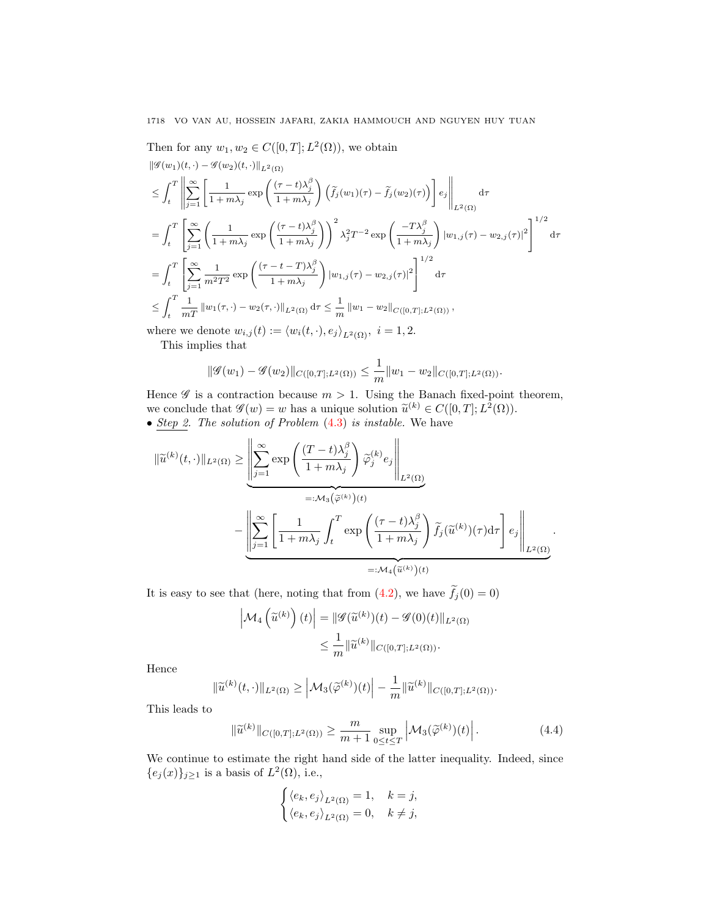Then for any  $w_1, w_2 \in C([0, T]; L^2(\Omega))$ , we obtain

$$
\begin{split} &\|\mathscr{G}(w_{1})(t,\cdot)-\mathscr{G}(w_{2})(t,\cdot)\|_{L^{2}(\Omega)}\\ &\leq \int_{t}^{T}\left\|\sum_{j=1}^{\infty}\left[\frac{1}{1+m\lambda_{j}}\exp\left(\frac{(\tau-t)\lambda_{j}^{\beta}}{1+m\lambda_{j}}\right)\left(\tilde{f}_{j}(w_{1})(\tau)-\tilde{f}_{j}(w_{2})(\tau)\right)\right]e_{j}\right\|_{L^{2}(\Omega)}\mathrm{d}\tau\\ &=\int_{t}^{T}\left[\sum_{j=1}^{\infty}\left(\frac{1}{1+m\lambda_{j}}\exp\left(\frac{(\tau-t)\lambda_{j}^{\beta}}{1+m\lambda_{j}}\right)\right)^{2}\lambda_{j}^{2}T^{-2}\exp\left(\frac{-T\lambda_{j}^{\beta}}{1+m\lambda_{j}}\right)|w_{1,j}(\tau)-w_{2,j}(\tau)|^{2}\right]^{1/2}\mathrm{d}\tau\\ &=\int_{t}^{T}\left[\sum_{j=1}^{\infty}\frac{1}{m^{2}T^{2}}\exp\left(\frac{(\tau-t-T)\lambda_{j}^{\beta}}{1+m\lambda_{j}}\right)|w_{1,j}(\tau)-w_{2,j}(\tau)|^{2}\right]^{1/2}\mathrm{d}\tau\\ &\leq \int_{t}^{T}\frac{1}{mT}\left\|w_{1}(\tau,\cdot)-w_{2}(\tau,\cdot)\right\|_{L^{2}(\Omega)}\mathrm{d}\tau\leq \frac{1}{m}\left\|w_{1}-w_{2}\right\|_{C\left(\left[0,T\right];L^{2}(\Omega)\right)},\end{split}
$$

where we denote  $w_{i,j}(t) := \langle w_i(t, \cdot), e_j \rangle_{L^2(\Omega)}, i = 1, 2.$ This implies that

$$
\|\mathscr{G}(w_1)-\mathscr{G}(w_2)\|_{C([0,T];L^2(\Omega))}\leq \frac{1}{m}\|w_1-w_2\|_{C([0,T];L^2(\Omega))}.
$$

Hence  $\mathscr G$  is a contraction because  $m > 1$ . Using the Banach fixed-point theorem, we conclude that  $\mathscr{G}(w) = w$  has a unique solution  $\widetilde{u}^{(k)} \in C([0,T]; L^2(\Omega)).$ <br>• Step 2. The solution of Problem (4.3) is instable. We have • Step 2. The solution of Problem  $(4.3)$  is instable. We have

$$
\|\widetilde{u}^{(k)}(t,\cdot)\|_{L^{2}(\Omega)} \geq \left\|\sum_{j=1}^{\infty} \exp\left(\frac{(T-t)\lambda_{j}^{\beta}}{1+m\lambda_{j}}\right) \widetilde{\varphi}_{j}^{(k)} e_{j}\right\|_{L^{2}(\Omega)}
$$

$$
=:\mathcal{M}_{3}(\widetilde{\varphi}^{(k)})(t)
$$

$$
-\left\|\sum_{j=1}^{\infty} \left[\frac{1}{1+m\lambda_{j}}\int_{t}^{T} \exp\left(\frac{(\tau-t)\lambda_{j}^{\beta}}{1+m\lambda_{j}}\right) \widetilde{f}_{j}(\widetilde{u}^{(k)})(\tau)d\tau\right] e_{j}\right\|_{L^{2}(\Omega)}
$$

$$
=:\mathcal{M}_{4}(\widetilde{u}^{(k)})(t)
$$

It is easy to see that (here, noting that from [\(4.2\)](#page-8-1), we have  $\tilde{f}_j(0) = 0$ )

$$
\left|\mathcal{M}_4\left(\tilde{u}^{(k)}\right)(t)\right| = \left\|\mathcal{G}(\tilde{u}^{(k)})(t) - \mathcal{G}(0)(t)\right\|_{L^2(\Omega)}
$$

$$
\leq \frac{1}{m} \|\tilde{u}^{(k)}\|_{C([0,T];L^2(\Omega))}.
$$

Hence

$$
\|\widetilde{u}^{(k)}(t,\cdot)\|_{L^2(\Omega)} \geq \left|\mathcal{M}_3(\widetilde{\varphi}^{(k)})(t)\right| - \frac{1}{m}\|\widetilde{u}^{(k)}\|_{C([0,T];L^2(\Omega))}.
$$

This leads to

$$
\|\widetilde{u}^{(k)}\|_{C([0,T];L^2(\Omega))} \ge \frac{m}{m+1} \sup_{0 \le t \le T} \left| \mathcal{M}_3(\widetilde{\varphi}^{(k)})(t) \right|.
$$
 (4.4)

<span id="page-9-0"></span>.

We continue to estimate the right hand side of the latter inequality. Indeed, since  ${e_j(x)}_{j\geq 1}$  is a basis of  $L^2(\Omega)$ , i.e.,

$$
\begin{cases} \langle e_k, e_j \rangle_{L^2(\Omega)} = 1, & k = j, \\ \langle e_k, e_j \rangle_{L^2(\Omega)} = 0, & k \neq j, \end{cases}
$$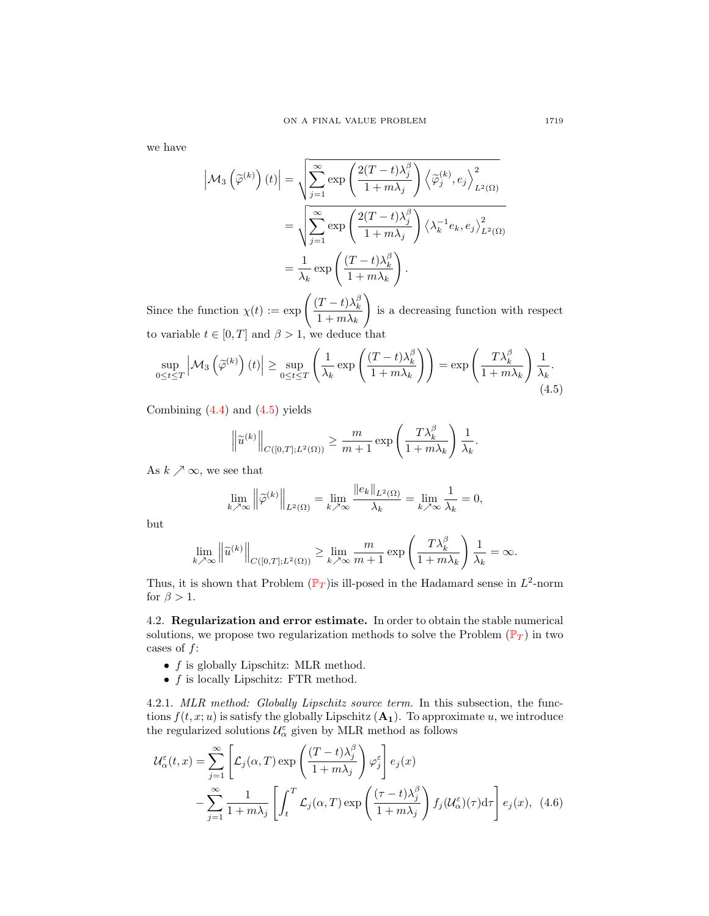we have

$$
\left| \mathcal{M}_3 \left( \tilde{\varphi}^{(k)} \right) (t) \right| = \sqrt{\sum_{j=1}^{\infty} \exp \left( \frac{2(T - t) \lambda_j^{\beta}}{1 + m \lambda_j} \right) \left\langle \tilde{\varphi}_j^{(k)}, e_j \right\rangle_{L^2(\Omega)}^2}
$$
  

$$
= \sqrt{\sum_{j=1}^{\infty} \exp \left( \frac{2(T - t) \lambda_j^{\beta}}{1 + m \lambda_j} \right) \left\langle \lambda_k^{-1} e_k, e_j \right\rangle_{L^2(\Omega)}^2}
$$
  

$$
= \frac{1}{\lambda_k} \exp \left( \frac{(T - t) \lambda_k^{\beta}}{1 + m \lambda_k} \right).
$$

Since the function  $\chi(t) := \exp \left( \frac{(T-t)\lambda_k^{\beta}}{1-\lambda_k} \right)$  $1 + m\lambda_k$  $\setminus$ is a decreasing function with respect to variable  $t \in [0, T]$  and  $\beta > 1$ , we deduce that

$$
\sup_{0 \le t \le T} \left| \mathcal{M}_3 \left( \widetilde{\varphi}^{(k)} \right) (t) \right| \ge \sup_{0 \le t \le T} \left( \frac{1}{\lambda_k} \exp \left( \frac{(T - t) \lambda_k^{\beta}}{1 + m \lambda_k} \right) \right) = \exp \left( \frac{T \lambda_k^{\beta}}{1 + m \lambda_k} \right) \frac{1}{\lambda_k}.
$$
\n(4.5)

Combining  $(4.4)$  and  $(4.5)$  yields

<span id="page-10-0"></span>
$$
\left\|\widetilde{u}^{(k)}\right\|_{C([0,T];L^2(\Omega))} \ge \frac{m}{m+1} \exp\left(\frac{T\lambda_k^{\beta}}{1+m\lambda_k}\right) \frac{1}{\lambda_k}.
$$

As  $k \nearrow \infty$ , we see that

$$
\lim_{k \nearrow \infty} \left\| \widetilde{\varphi}^{(k)} \right\|_{L^2(\Omega)} = \lim_{k \nearrow \infty} \frac{\| e_k \|_{L^2(\Omega)}}{\lambda_k} = \lim_{k \nearrow \infty} \frac{1}{\lambda_k} = 0,
$$

but

$$
\lim_{k \nearrow \infty} \left\| \widetilde{u}^{(k)} \right\|_{C([0,T];L^2(\Omega))} \ge \lim_{k \nearrow \infty} \frac{m}{m+1} \exp\left(\frac{T\lambda_k^{\beta}}{1+m\lambda_k}\right) \frac{1}{\lambda_k} = \infty.
$$

Thus, it is shown that [P](#page-0-0)roblem  $(\mathbb{P}_T)$  is ill-posed in the Hadamard sense in  $L^2$ -norm for  $\beta > 1$ .

4.2. Regularization and error estimate. In order to obtain the stable numerical solutions, we propose two regularization methods to solve the [P](#page-0-0)roblem  $(\mathbb{P}_T)$  in two cases of  $f$ :

- $f$  is globally Lipschitz: MLR method.
- $f$  is locally Lipschitz: FTR method.

<span id="page-10-2"></span>4.2.1. MLR method: Globally Lipschitz source term. In this subsection, the functions  $f(t, x; u)$  is satisfy the globally Lipschitz  $(\mathbf{A}_1)$ . To approximate u, we introduce the regularized solutions  $\mathcal{U}_{\alpha}^{\varepsilon}$  given by MLR method as follows

<span id="page-10-1"></span>
$$
\mathcal{U}_{\alpha}^{\varepsilon}(t,x) = \sum_{j=1}^{\infty} \left[ \mathcal{L}_{j}(\alpha, T) \exp\left(\frac{(T-t)\lambda_{j}^{\beta}}{1+m\lambda_{j}}\right) \varphi_{j}^{\varepsilon} \right] e_{j}(x)
$$

$$
- \sum_{j=1}^{\infty} \frac{1}{1+m\lambda_{j}} \left[ \int_{t}^{T} \mathcal{L}_{j}(\alpha, T) \exp\left(\frac{(\tau-t)\lambda_{j}^{\beta}}{1+m\lambda_{j}}\right) f_{j}(\mathcal{U}_{\alpha}^{\varepsilon})(\tau) d\tau \right] e_{j}(x), \quad (4.6)
$$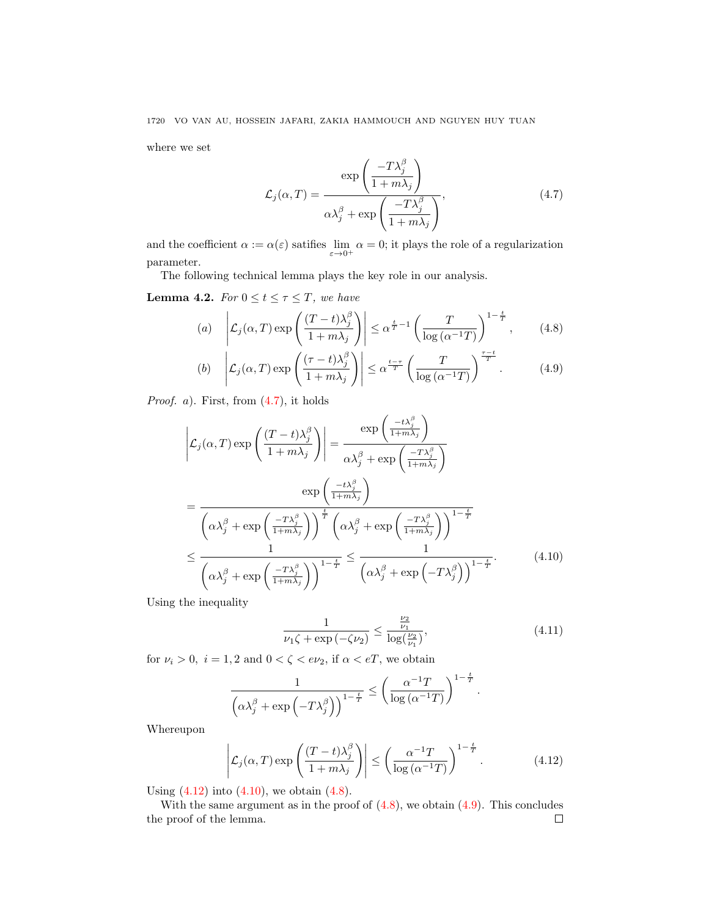where we set

<span id="page-11-3"></span><span id="page-11-0"></span>
$$
\mathcal{L}_{j}(\alpha, T) = \frac{\exp\left(\frac{-T\lambda_{j}^{\beta}}{1 + m\lambda_{j}}\right)}{\alpha\lambda_{j}^{\beta} + \exp\left(\frac{-T\lambda_{j}^{\beta}}{1 + m\lambda_{j}}\right)},
$$
\n(4.7)

and the coefficient  $\alpha := \alpha(\varepsilon)$  satifies  $\lim_{\varepsilon \to 0^+} \alpha = 0$ ; it plays the role of a regularization parameter.

The following technical lemma plays the key role in our analysis.

<span id="page-11-5"></span>**Lemma 4.2.** For  $0 \le t \le \tau \le T$ , we have

(a) 
$$
\left| \mathcal{L}_j(\alpha, T) \exp\left(\frac{(T-t)\lambda_j^{\beta}}{1 + m\lambda_j}\right) \right| \leq \alpha^{\frac{t}{T}-1} \left(\frac{T}{\log(\alpha^{-1}T)}\right)^{1-\frac{t}{T}}, \quad (4.8)
$$

(b) 
$$
\left| \mathcal{L}_j(\alpha, T) \exp\left(\frac{(\tau - t)\lambda_j^{\beta}}{1 + m\lambda_j}\right) \right| \leq \alpha^{\frac{t - \tau}{T}} \left(\frac{T}{\log\left(\alpha^{-1}T\right)}\right)^{\frac{\tau - t}{T}}.
$$
 (4.9)

*Proof.* a). First, from  $(4.7)$ , it holds

$$
\left| \mathcal{L}_{j}(\alpha, T) \exp\left(\frac{(T - t)\lambda_{j}^{\beta}}{1 + m\lambda_{j}}\right) \right| = \frac{\exp\left(\frac{-t\lambda_{j}^{\beta}}{1 + m\lambda_{j}}\right)}{\alpha\lambda_{j}^{\beta} + \exp\left(\frac{-T\lambda_{j}^{\beta}}{1 + m\lambda_{j}}\right)}
$$
\n
$$
= \frac{\exp\left(\frac{-t\lambda_{j}^{\beta}}{1 + m\lambda_{j}}\right)}{\left(\alpha\lambda_{j}^{\beta} + \exp\left(\frac{-T\lambda_{j}^{\beta}}{1 + m\lambda_{j}}\right)\right)^{\frac{t}{T}} \left(\alpha\lambda_{j}^{\beta} + \exp\left(\frac{-T\lambda_{j}^{\beta}}{1 + m\lambda_{j}}\right)\right)^{1 - \frac{t}{T}}}
$$
\n
$$
\leq \frac{1}{\left(\alpha\lambda_{j}^{\beta} + \exp\left(\frac{-T\lambda_{j}^{\beta}}{1 + m\lambda_{j}}\right)\right)^{1 - \frac{t}{T}}} \leq \frac{1}{\left(\alpha\lambda_{j}^{\beta} + \exp\left(-T\lambda_{j}^{\beta}\right)\right)^{1 - \frac{t}{T}}}.
$$
\n(4.10)

Using the inequality

$$
\frac{1}{\nu_1 \zeta + \exp\left(-\zeta \nu_2\right)} \le \frac{\frac{\nu_2}{\nu_1}}{\log\left(\frac{\nu_2}{\nu_1}\right)},\tag{4.11}
$$

<span id="page-11-4"></span><span id="page-11-2"></span><span id="page-11-1"></span>.

for  $\nu_i > 0$ ,  $i = 1, 2$  and  $0 < \zeta < e\nu_2$ , if  $\alpha < eT$ , we obtain

$$
\frac{1}{\left(\alpha\lambda_j^{\beta} + \exp\left(-T\lambda_j^{\beta}\right)\right)^{1-\frac{t}{T}}} \leq \left(\frac{\alpha^{-1}T}{\log\left(\alpha^{-1}T\right)}\right)^{1-\frac{t}{T}}
$$

Whereupon

$$
\left| \mathcal{L}_j(\alpha, T) \exp\left(\frac{(T - t)\lambda_j^{\beta}}{1 + m\lambda_j}\right) \right| \le \left(\frac{\alpha^{-1}T}{\log\left(\alpha^{-1}T\right)}\right)^{1 - \frac{t}{T}}.\tag{4.12}
$$

Using  $(4.12)$  into  $(4.10)$ , we obtain  $(4.8)$ .

With the same argument as in the proof of  $(4.8)$ , we obtain  $(4.9)$ . This concludes the proof of the lemma. $\Box$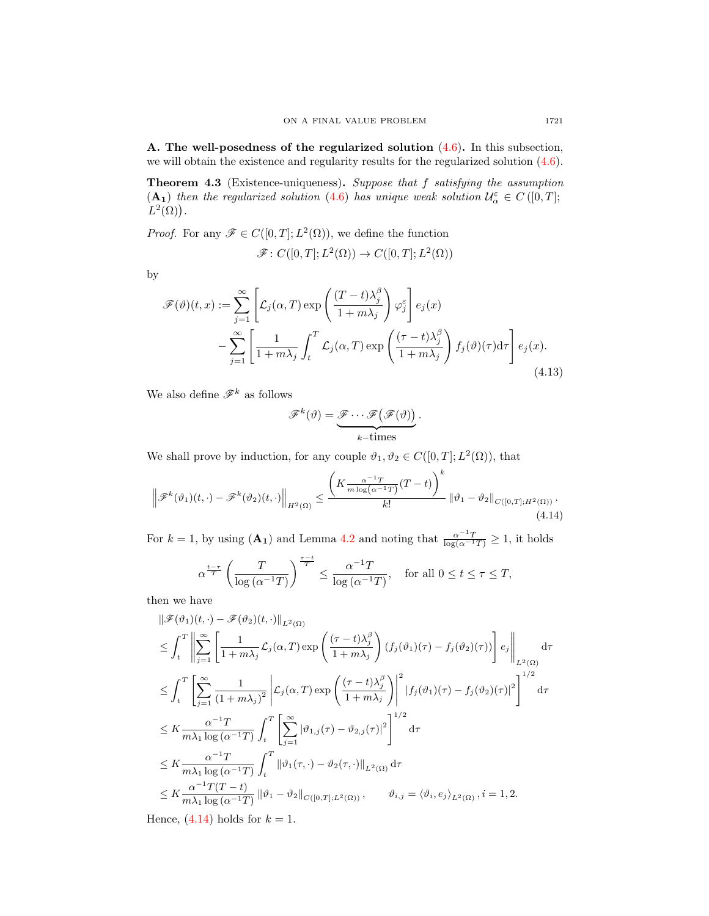A. The well-posedness of the regularized solution [\(4.6\)](#page-10-1). In this subsection, we will obtain the existence and regularity results for the regularized solution  $(4.6)$ .

<span id="page-12-1"></span>Theorem 4.3 (Existence-uniqueness). Suppose that f satisfying the assumption (A<sub>1</sub>) then the regularized solution [\(4.6\)](#page-10-1) has unique weak solution  $\mathcal{U}_{\alpha}^{\varepsilon} \in C([0,T];$  $L^2(\Omega)$ .

*Proof.* For any  $\mathscr{F} \in C([0,T]; L^2(\Omega))$ , we define the function

$$
\mathscr{F}: C([0,T];L^2(\Omega)) \to C([0,T];L^2(\Omega))
$$

by

$$
\mathscr{F}(\vartheta)(t,x) := \sum_{j=1}^{\infty} \left[ \mathcal{L}_j(\alpha, T) \exp\left(\frac{(T-t)\lambda_j^{\beta}}{1+m\lambda_j}\right) \varphi_j^{\varepsilon} \right] e_j(x)
$$

$$
- \sum_{j=1}^{\infty} \left[ \frac{1}{1+m\lambda_j} \int_t^T \mathcal{L}_j(\alpha, T) \exp\left(\frac{(\tau-t)\lambda_j^{\beta}}{1+m\lambda_j}\right) f_j(\vartheta)(\tau) d\tau \right] e_j(x).
$$
(4.13)

We also define  $\mathscr{F}^k$  as follows

<span id="page-12-0"></span>
$$
\mathscr{F}^{k}(\vartheta) = \underbrace{\mathscr{F} \cdots \mathscr{F}(\mathscr{F}(\vartheta))}_{k-\text{times}}.
$$

We shall prove by induction, for any couple  $\vartheta_1, \vartheta_2 \in C([0, T]; L^2(\Omega))$ , that

$$
\left\|\mathscr{F}^{k}(\vartheta_{1})(t,\cdot)-\mathscr{F}^{k}(\vartheta_{2})(t,\cdot)\right\|_{H^{2}(\Omega)} \leq \frac{\left(K\frac{\alpha^{-1}T}{m\log(\alpha^{-1}T)}(T-t)\right)^{k}}{k!}\left\|\vartheta_{1}-\vartheta_{2}\right\|_{C([0,T];H^{2}(\Omega))}.
$$
\n(4.14)

For  $k = 1$ , by using  $(\mathbf{A_1})$  and Lemma [4.2](#page-11-5) and noting that  $\frac{\alpha^{-1}T}{\log(\alpha^{-1}T)} \geq 1$ , it holds

$$
\alpha^{\frac{t-\tau}{T}} \left( \frac{T}{\log \left( \alpha^{-1} T \right)} \right)^{\frac{\tau-t}{T}} \le \frac{\alpha^{-1} T}{\log \left( \alpha^{-1} T \right)}, \quad \text{for all } 0 \le t \le \tau \le T,
$$

then we have

kF(ϑ1)(t, ·) − F(ϑ2)(t, ·)kL2(Ω) ≤ Z <sup>T</sup> t X∞ j=1 " 1 1 + mλ<sup>j</sup> <sup>L</sup><sup>j</sup> (α, T) exp (τ − t)λ β j 1 + mλ<sup>j</sup> ! (f<sup>j</sup> (ϑ1)(<sup>τ</sup> ) <sup>−</sup> <sup>f</sup><sup>j</sup> (ϑ2)(<sup>τ</sup> ))# ej L2(Ω) dτ ≤ Z <sup>T</sup> t "X<sup>∞</sup> j=1 1 (1 + mλ<sup>j</sup> ) 2 <sup>L</sup><sup>j</sup> (α, T) exp (τ − t)λ β j 1 + mλ<sup>j</sup> ! 2 |f<sup>j</sup> (ϑ1)(τ ) − f<sup>j</sup> (ϑ2)(τ )| 2 #<sup>1</sup>/<sup>2</sup> dτ ≤ K α <sup>−</sup><sup>1</sup>T mλ<sup>1</sup> log (α<sup>−</sup><sup>1</sup>T) Z <sup>T</sup> t "X<sup>∞</sup> j=1 |ϑ1,j (τ ) − ϑ2,j (τ )| 2 #<sup>1</sup>/<sup>2</sup> dτ ≤ K α <sup>−</sup><sup>1</sup>T mλ<sup>1</sup> log (α<sup>−</sup><sup>1</sup>T) Z <sup>T</sup> t kϑ1(τ, ·) − ϑ2(τ, ·)kL2(Ω) dτ ≤ K α <sup>−</sup><sup>1</sup>T(T − t) mλ<sup>1</sup> log (α<sup>−</sup><sup>1</sup>T) kϑ<sup>1</sup> − ϑ2kC([0,T ];L2(Ω)) , ϑi,j = hϑi, e<sup>j</sup> iL2(Ω) , i = 1, 2.

Hence,  $(4.14)$  holds for  $k = 1$ .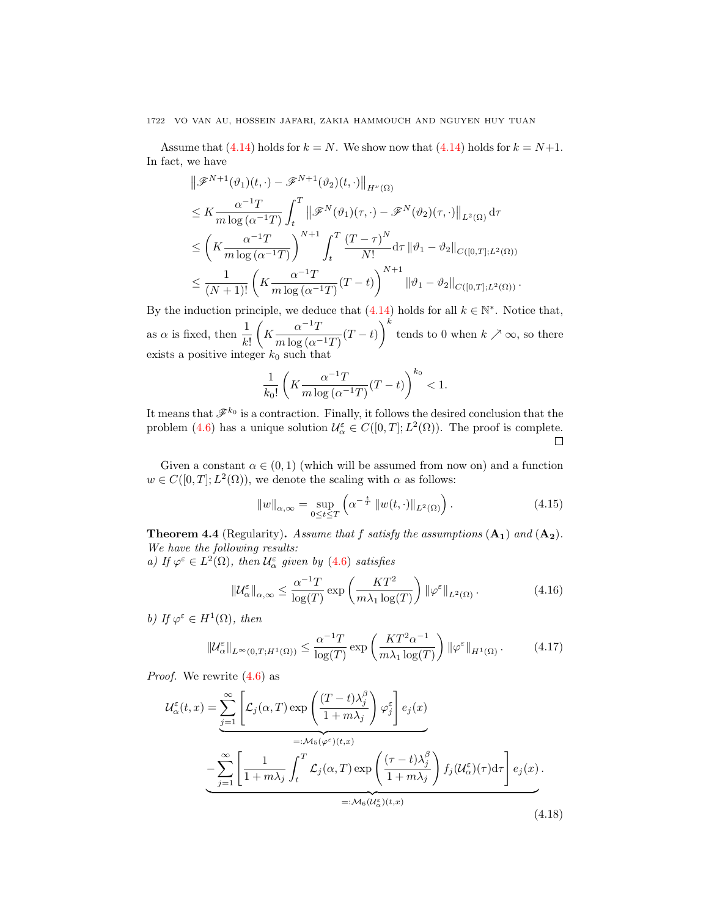Assume that [\(4.14\)](#page-12-0) holds for  $k = N$ . We show now that (4.14) holds for  $k = N+1$ . In fact, we have

$$
\|\mathscr{F}^{N+1}(\vartheta_1)(t,\cdot)-\mathscr{F}^{N+1}(\vartheta_2)(t,\cdot)\|_{H^{\nu}(\Omega)}
$$
\n
$$
\leq K \frac{\alpha^{-1}T}{m\log(\alpha^{-1}T)} \int_t^T \|\mathscr{F}^N(\vartheta_1)(\tau,\cdot)-\mathscr{F}^N(\vartheta_2)(\tau,\cdot)\|_{L^2(\Omega)} d\tau
$$
\n
$$
\leq \left(K \frac{\alpha^{-1}T}{m\log(\alpha^{-1}T)}\right)^{N+1} \int_t^T \frac{(T-\tau)^N}{N!} d\tau \|\vartheta_1 - \vartheta_2\|_{C([0,T];L^2(\Omega))}
$$
\n
$$
\leq \frac{1}{(N+1)!} \left(K \frac{\alpha^{-1}T}{m\log(\alpha^{-1}T)}(T-t)\right)^{N+1} \|\vartheta_1 - \vartheta_2\|_{C([0,T];L^2(\Omega))}.
$$

By the induction principle, we deduce that  $(4.14)$  holds for all  $k \in \mathbb{N}^*$ . Notice that, as  $\alpha$  is fixed, then  $\frac{1}{k!}$  $\left(K\frac{\alpha^{-1}T}{\alpha}\right)$  $\left(\frac{\alpha^{-1}T}{m\log(\alpha^{-1}T)}(T-t)\right)^k$  tends to 0 when  $k \nearrow \infty$ , so there exists a positive integer  $k_0$  such that

$$
\frac{1}{k_0!} \left( K \frac{\alpha^{-1} T}{m \log \left( \alpha^{-1} T \right)} (T-t) \right)^{k_0} < 1.
$$

It means that  $\mathscr{F}^{k_0}$  is a contraction. Finally, it follows the desired conclusion that the problem [\(4.6\)](#page-10-1) has a unique solution  $\mathcal{U}_{\alpha}^{\varepsilon} \in C([0,T]; L^2(\Omega))$ . The proof is complete.  $\Box$ 

Given a constant  $\alpha \in (0,1)$  (which will be assumed from now on) and a function  $w \in C([0, T]; L^2(\Omega))$ , we denote the scaling with  $\alpha$  as follows:

<span id="page-13-1"></span>
$$
||w||_{\alpha,\infty} = \sup_{0 \le t \le T} \left( \alpha^{-\frac{t}{T}} ||w(t,\cdot)||_{L^2(\Omega)} \right). \tag{4.15}
$$

**Theorem 4.4** (Regularity). Assume that f satisfy the assumptions  $(A_1)$  and  $(A_2)$ . We have the following results:

a) If  $\varphi^{\varepsilon} \in L^2(\Omega)$ , then  $\mathcal{U}_{\alpha}^{\varepsilon}$  given by [\(4.6\)](#page-10-1) satisfies

<span id="page-13-2"></span>
$$
\|\mathcal{U}_{\alpha}^{\varepsilon}\|_{\alpha,\infty} \le \frac{\alpha^{-1}T}{\log(T)} \exp\left(\frac{KT^2}{m\lambda_1 \log(T)}\right) \|\varphi^{\varepsilon}\|_{L^2(\Omega)}.
$$
 (4.16)

b) If  $\varphi^{\varepsilon} \in H^1(\Omega)$ , then

<span id="page-13-0"></span>
$$
\|\mathcal{U}_{\alpha}^{\varepsilon}\|_{L^{\infty}(0,T;H^{1}(\Omega))} \leq \frac{\alpha^{-1}T}{\log(T)} \exp\left(\frac{KT^{2}\alpha^{-1}}{m\lambda_{1}\log(T)}\right) \|\varphi^{\varepsilon}\|_{H^{1}(\Omega)}.
$$
 (4.17)

Proof. We rewrite [\(4.6\)](#page-10-1) as

$$
\mathcal{U}_{\alpha}^{\varepsilon}(t,x) = \sum_{j=1}^{\infty} \left[ \mathcal{L}_{j}(\alpha, T) \exp\left(\frac{(T-t)\lambda_{j}^{\beta}}{1+m\lambda_{j}}\right) \varphi_{j}^{\varepsilon}\right] e_{j}(x)
$$

$$
- \sum_{j=1}^{\infty} \left[ \frac{1}{1+m\lambda_{j}} \int_{t}^{T} \mathcal{L}_{j}(\alpha, T) \exp\left(\frac{(\tau-t)\lambda_{j}^{\beta}}{1+m\lambda_{j}}\right) f_{j}(\mathcal{U}_{\alpha}^{\varepsilon})(\tau) d\tau \right] e_{j}(x).
$$

$$
=:\mathcal{M}_{6}(\mathcal{U}_{\alpha}^{\varepsilon})(t,x)
$$
(4.18)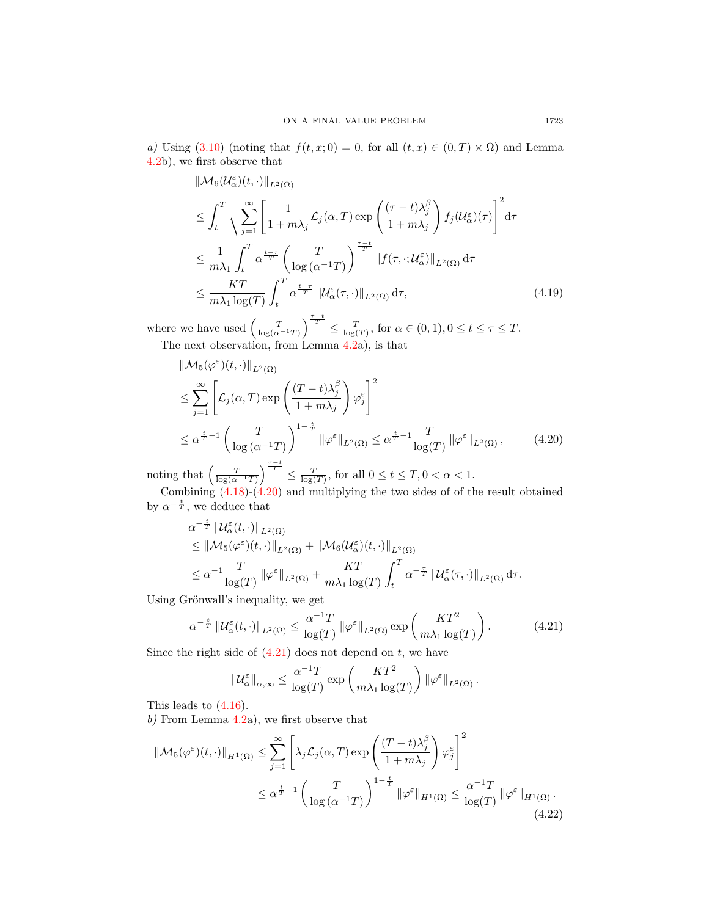a) Using [\(3.10\)](#page-6-0) (noting that  $f(t, x; 0) = 0$ , for all  $(t, x) \in (0, T) \times \Omega$ ) and Lemma [4.2b](#page-11-5)), we first observe that

$$
\|\mathcal{M}_{6}(\mathcal{U}_{\alpha}^{\varepsilon})(t,\cdot)\|_{L^{2}(\Omega)}
$$
\n
$$
\leq \int_{t}^{T} \sqrt{\sum_{j=1}^{\infty} \left[ \frac{1}{1+m\lambda_{j}} \mathcal{L}_{j}(\alpha, T) \exp\left(\frac{(\tau-t)\lambda_{j}^{\beta}}{1+m\lambda_{j}}\right) f_{j}(\mathcal{U}_{\alpha}^{\varepsilon})(\tau) \right]^{2}} d\tau
$$
\n
$$
\leq \frac{1}{m\lambda_{1}} \int_{t}^{T} \alpha^{\frac{t-\tau}{T}} \left( \frac{T}{\log(\alpha^{-1}T)} \right)^{\frac{\tau-t}{T}} \|f(\tau, \cdot; \mathcal{U}_{\alpha}^{\varepsilon})\|_{L^{2}(\Omega)} d\tau
$$
\n
$$
\leq \frac{KT}{m\lambda_{1} \log(T)} \int_{t}^{T} \alpha^{\frac{t-\tau}{T}} \| \mathcal{U}_{\alpha}^{\varepsilon}(\tau, \cdot)\|_{L^{2}(\Omega)} d\tau, \tag{4.19}
$$

where we have used  $\left(\frac{T}{\log(\alpha^{-1}T)}\right)^{\frac{\tau-t}{T}} \leq \frac{T}{\log(T)}$ , for  $\alpha \in (0,1), 0 \leq t \leq \tau \leq T$ . The next observation, from Lemma [4.2a](#page-11-5)), is that

$$
\|\mathcal{M}_5(\varphi^{\varepsilon})(t,\cdot)\|_{L^2(\Omega)}
$$
\n
$$
\leq \sum_{j=1}^{\infty} \left[ \mathcal{L}_j(\alpha, T) \exp\left(\frac{(T-t)\lambda_j^{\beta}}{1+m\lambda_j}\right) \varphi_j^{\varepsilon}\right]^2
$$
\n
$$
\leq \alpha^{\frac{t}{T}-1} \left( \frac{T}{\log(\alpha^{-1}T)} \right)^{1-\frac{t}{T}} \|\varphi^{\varepsilon}\|_{L^2(\Omega)} \leq \alpha^{\frac{t}{T}-1} \frac{T}{\log(T)} \|\varphi^{\varepsilon}\|_{L^2(\Omega)}, \tag{4.20}
$$

noting that  $\left(\frac{T}{\log(\alpha^{-1}T)}\right)^{\frac{\tau-t}{T}} \leq \frac{T}{\log(T)}$ , for all  $0 \leq t \leq T, 0 < \alpha < 1$ .

Combining [\(4.18\)](#page-13-0)-[\(4.20\)](#page-14-0) and multiplying the two sides of of the result obtained by  $\alpha^{-\frac{t}{T}}$ , we deduce that

<span id="page-14-0"></span>
$$
\alpha^{-\frac{t}{T}} \| \mathcal{U}_{\alpha}^{\varepsilon}(t, \cdot) \|_{L^{2}(\Omega)}
$$
\n
$$
\leq \| \mathcal{M}_{5}(\varphi^{\varepsilon})(t, \cdot) \|_{L^{2}(\Omega)} + \| \mathcal{M}_{6}(\mathcal{U}_{\alpha}^{\varepsilon})(t, \cdot) \|_{L^{2}(\Omega)}
$$
\n
$$
\leq \alpha^{-1} \frac{T}{\log(T)} \| \varphi^{\varepsilon} \|_{L^{2}(\Omega)} + \frac{KT}{m\lambda_{1} \log(T)} \int_{t}^{T} \alpha^{-\frac{\tau}{T}} \| \mathcal{U}_{\alpha}^{\varepsilon}(\tau, \cdot) \|_{L^{2}(\Omega)} d\tau.
$$

Using Grönwall's inequality, we get

$$
\alpha^{-\frac{t}{T}} \left\| \mathcal{U}_{\alpha}^{\varepsilon}(t,\cdot) \right\|_{L^{2}(\Omega)} \leq \frac{\alpha^{-1}T}{\log(T)} \left\| \varphi^{\varepsilon} \right\|_{L^{2}(\Omega)} \exp\left(\frac{KT^{2}}{m\lambda_{1}\log(T)}\right). \tag{4.21}
$$

Since the right side of  $(4.21)$  does not depend on t, we have

<span id="page-14-2"></span><span id="page-14-1"></span>
$$
\|\mathcal{U}_{\alpha}^{\varepsilon}\|_{\alpha,\infty} \leq \frac{\alpha^{-1}T}{\log(T)} \exp\left(\frac{KT^2}{m\lambda_1 \log(T)}\right) \|\varphi^{\varepsilon}\|_{L^2(\Omega)}.
$$

This leads to [\(4.16\)](#page-13-1).

 $b)$  From Lemma [4.2a](#page-11-5)), we first observe that

$$
\|\mathcal{M}_5(\varphi^{\varepsilon})(t,\cdot)\|_{H^1(\Omega)} \leq \sum_{j=1}^{\infty} \left[ \lambda_j \mathcal{L}_j(\alpha,T) \exp\left(\frac{(T-t)\lambda_j^{\beta}}{1+m\lambda_j}\right) \varphi_j^{\varepsilon}\right]^2
$$
  

$$
\leq \alpha^{\frac{t}{T}-1} \left(\frac{T}{\log(\alpha^{-1}T)}\right)^{1-\frac{t}{T}} \|\varphi^{\varepsilon}\|_{H^1(\Omega)} \leq \frac{\alpha^{-1}T}{\log(T)} \|\varphi^{\varepsilon}\|_{H^1(\Omega)}.
$$
\n(4.22)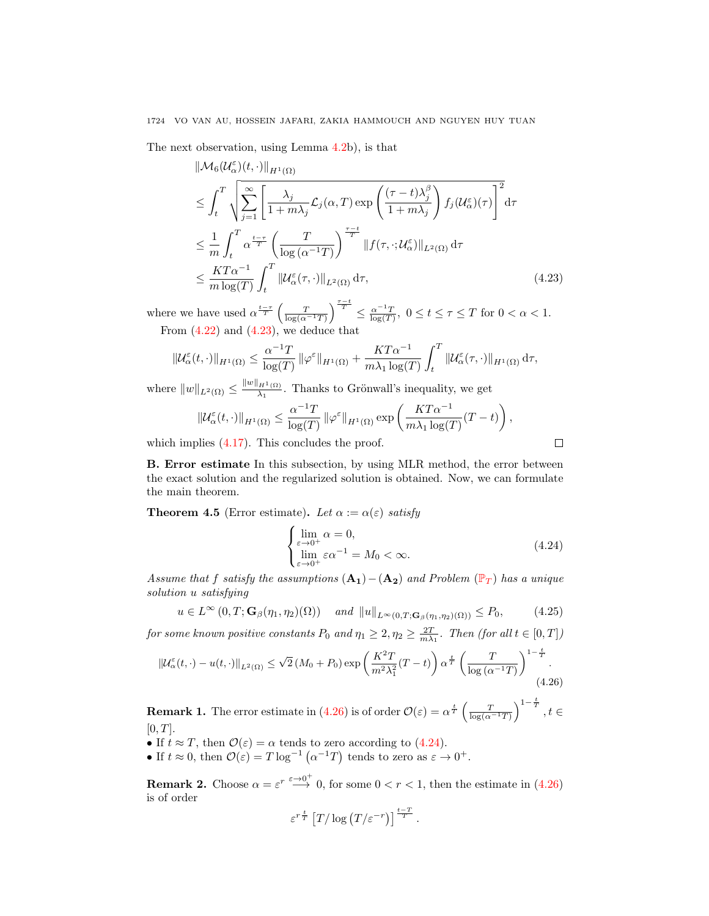The next observation, using Lemma [4.2b](#page-11-5)), is that

$$
\|\mathcal{M}_{6}(\mathcal{U}_{\alpha}^{\varepsilon})(t,\cdot)\|_{H^{1}(\Omega)}
$$
\n
$$
\leq \int_{t}^{T} \sqrt{\sum_{j=1}^{\infty} \left[ \frac{\lambda_{j}}{1+m\lambda_{j}} \mathcal{L}_{j}(\alpha, T) \exp\left( \frac{(\tau-t)\lambda_{j}^{\beta}}{1+m\lambda_{j}} \right) f_{j}(\mathcal{U}_{\alpha}^{\varepsilon})(\tau) \right]^{2}} d\tau
$$
\n
$$
\leq \frac{1}{m} \int_{t}^{T} \alpha^{\frac{t-\tau}{T}} \left( \frac{T}{\log(\alpha^{-1}T)} \right)^{\frac{\tau-t}{T}} \|f(\tau, \cdot; \mathcal{U}_{\alpha}^{\varepsilon})\|_{L^{2}(\Omega)} d\tau
$$
\n
$$
\leq \frac{KT\alpha^{-1}}{m \log(T)} \int_{t}^{T} \|\mathcal{U}_{\alpha}^{\varepsilon}(\tau, \cdot)\|_{L^{2}(\Omega)} d\tau, \tag{4.23}
$$

where we have used  $\alpha^{\frac{t-\tau}{T}}\left(\frac{T}{\log(\alpha^{-1}T)}\right)^{\frac{\tau-t}{T}} \leq \frac{\alpha^{-1}T}{\log(T)}$ ,  $0 \leq t \leq \tau \leq T$  for  $0 < \alpha < 1$ . From  $(4.22)$  and  $(4.23)$ , we deduce that

$$
\|\mathcal{U}^\varepsilon_\alpha(t,\cdot)\|_{H^1(\Omega)}\leq \frac{\alpha^{-1}T}{\log(T)}\left\|\varphi^\varepsilon\right\|_{H^1(\Omega)}+\frac{KT\alpha^{-1}}{m\lambda_1\log(T)}\int_t^T\left\|\mathcal{U}^\varepsilon_\alpha(\tau,\cdot)\right\|_{H^1(\Omega)}\mathrm{d}\tau,
$$

where  $||w||_{L^2(\Omega)} \leq \frac{||w||_{H^1(\Omega)}}{\lambda_1}$  $\frac{H^{1}(\Omega)}{\lambda_{1}}$ . Thanks to Grönwall's inequality, we get

$$
\|\mathcal{U}_{\alpha}^{\varepsilon}(t,\cdot)\|_{H^{1}(\Omega)} \leq \frac{\alpha^{-1}T}{\log(T)} \|\varphi^{\varepsilon}\|_{H^{1}(\Omega)} \exp\left(\frac{KT\alpha^{-1}}{m\lambda_{1}\log(T)}(T-t)\right),
$$

which implies  $(4.17)$ . This concludes the proof.

B. Error estimate In this subsection, by using MLR method, the error between the exact solution and the regularized solution is obtained. Now, we can formulate the main theorem.

<span id="page-15-3"></span>**Theorem 4.5** (Error estimate). Let  $\alpha := \alpha(\varepsilon)$  satisfy

$$
\begin{cases}\n\lim_{\varepsilon \to 0^{+}} \alpha = 0, \\
\lim_{\varepsilon \to 0^{+}} \varepsilon \alpha^{-1} = M_{0} < \infty.\n\end{cases} \tag{4.24}
$$

<span id="page-15-4"></span><span id="page-15-2"></span><span id="page-15-1"></span><span id="page-15-0"></span> $\Box$ 

Assume that f satisfy the assumptions  $(A_1) - (A_2)$  and [P](#page-0-0)roblem  $(\mathbb{P}_T)$  has a unique solution u satisfying

$$
u \in L^{\infty}(0,T; \mathbf{G}_{\beta}(\eta_1, \eta_2)(\Omega)) \quad \text{and} \quad \|u\|_{L^{\infty}(0,T; \mathbf{G}_{\beta}(\eta_1, \eta_2)(\Omega))} \le P_0, \tag{4.25}
$$

for some known positive constants  $P_0$  and  $\eta_1 \geq 2, \eta_2 \geq \frac{2T}{m\lambda_1}$ . Then (for all  $t \in [0,T]$ )

$$
\left\| \mathcal{U}_{\alpha}^{\varepsilon}(t,\cdot) - u(t,\cdot) \right\|_{L^{2}(\Omega)} \leq \sqrt{2} \left( M_{0} + P_{0} \right) \exp\left( \frac{K^{2}T}{m^{2} \lambda_{1}^{2}} (T - t) \right) \alpha^{\frac{t}{T}} \left( \frac{T}{\log\left( \alpha^{-1}T \right)} \right)^{1 - \frac{t}{T}}.
$$
\n(4.26)

**Remark 1.** The error estimate in [\(4.26\)](#page-15-1) is of order  $\mathcal{O}(\varepsilon) = \alpha^{\frac{t}{T}} \left( \frac{T}{\log(\alpha^{-1}T)} \right)^{1-\frac{t}{T}}$ ,  $t \in$  $[0, T]$ .

• If  $t \approx T$ , then  $\mathcal{O}(\varepsilon) = \alpha$  tends to zero according to [\(4.24\)](#page-15-2).

• If  $t \approx 0$ , then  $\mathcal{O}(\varepsilon) = T \log^{-1} (\alpha^{-1} T)$  tends to zero as  $\varepsilon \to 0^+$ .

**Remark 2.** Choose  $\alpha = \varepsilon^r \stackrel{\varepsilon \to 0^+}{\longrightarrow} 0$ , for some  $0 < r < 1$ , then the estimate in [\(4.26\)](#page-15-1) is of order

$$
\varepsilon^{r\frac{t}{T}} \left[ T/\log\left(T/\varepsilon^{-r}\right) \right]^{\frac{t-T}{T}}.
$$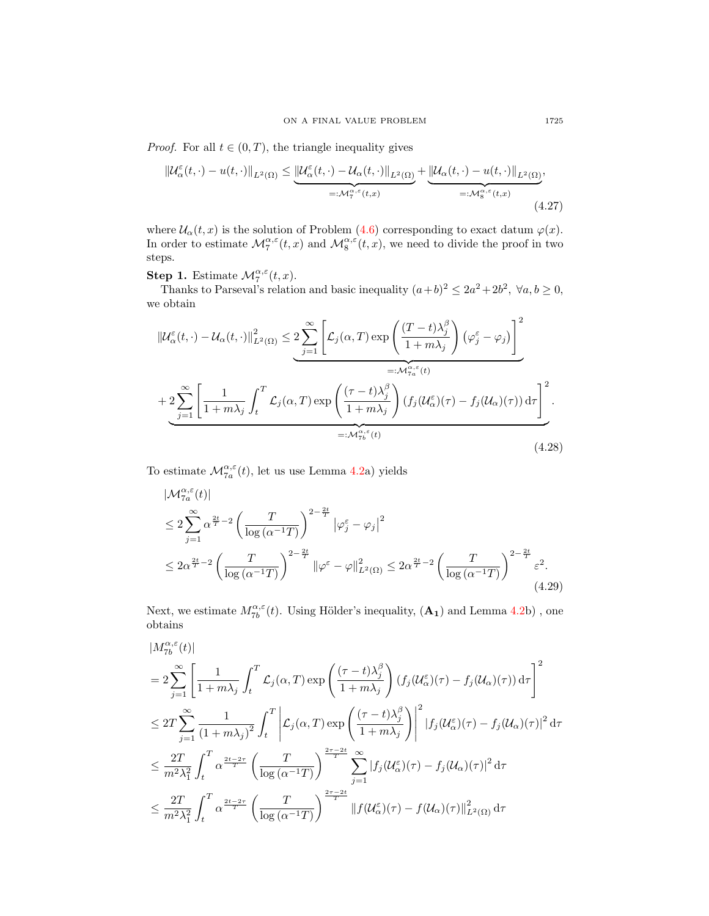*Proof.* For all  $t \in (0, T)$ , the triangle inequality gives

<span id="page-16-1"></span>
$$
\|\mathcal{U}_{\alpha}^{\varepsilon}(t,\cdot)-u(t,\cdot)\|_{L^{2}(\Omega)} \leq \underbrace{\|\mathcal{U}_{\alpha}^{\varepsilon}(t,\cdot)-\mathcal{U}_{\alpha}(t,\cdot)\|_{L^{2}(\Omega)}}_{=: \mathcal{M}_{\tau}^{\alpha,\varepsilon}(t,x)} + \underbrace{\|\mathcal{U}_{\alpha}(t,\cdot)-u(t,\cdot)\|_{L^{2}(\Omega)}}_{=: \mathcal{M}_{8}^{\alpha,\varepsilon}(t,x)},\tag{4.27}
$$

where  $\mathcal{U}_{\alpha}(t,x)$  is the solution of Problem [\(4.6\)](#page-10-1) corresponding to exact datum  $\varphi(x)$ . In order to estimate  $\mathcal{M}^{\alpha,\varepsilon}_{7}(t,x)$  and  $\mathcal{M}^{\alpha,\varepsilon}_{8}(t,x)$ , we need to divide the proof in two steps.

# **Step 1.** Estimate  $\mathcal{M}_{7}^{\alpha,\varepsilon}(t,x)$ .

Thanks to Parseval's relation and basic inequality  $(a+b)^2 \leq 2a^2 + 2b^2$ ,  $\forall a, b \geq 0$ , we obtain

$$
\|\mathcal{U}_{\alpha}^{\varepsilon}(t,\cdot)-\mathcal{U}_{\alpha}(t,\cdot)\|_{L^{2}(\Omega)}^{2} \leq 2 \sum_{j=1}^{\infty} \left[\mathcal{L}_{j}(\alpha,T) \exp\left(\frac{(T-t)\lambda_{j}^{\beta}}{1+m\lambda_{j}}\right) (\varphi_{j}^{\varepsilon}-\varphi_{j})\right]^{2}
$$

$$
=\mathcal{M}_{\tau_{a}}^{\alpha,\varepsilon}(t)
$$

$$
+ 2 \sum_{j=1}^{\infty} \left[\frac{1}{1+m\lambda_{j}} \int_{t}^{T} \mathcal{L}_{j}(\alpha,T) \exp\left(\frac{(\tau-t)\lambda_{j}^{\beta}}{1+m\lambda_{j}}\right) (f_{j}(\mathcal{U}_{\alpha}^{\varepsilon})(\tau)-f_{j}(\mathcal{U}_{\alpha})(\tau)) d\tau\right]^{2}
$$

$$
=\mathcal{M}_{\tau_{b}}^{\alpha,\varepsilon}(t)
$$
(4.28)

To estimate  $\mathcal{M}^{\alpha,\varepsilon}_{7a}(t)$ , let us use Lemma [4.2a](#page-11-5)) yields

<span id="page-16-0"></span>
$$
\begin{split} &|\mathcal{M}_{7a}^{\alpha,\varepsilon}(t)|\\ &\leq 2\sum_{j=1}^{\infty}\alpha^{\frac{2t}{T}-2}\left(\frac{T}{\log\left(\alpha^{-1}T\right)}\right)^{2-\frac{2t}{T}}\left|\varphi_{j}^{\varepsilon}-\varphi_{j}\right|^{2}\\ &\leq 2\alpha^{\frac{2t}{T}-2}\left(\frac{T}{\log\left(\alpha^{-1}T\right)}\right)^{2-\frac{2t}{T}}\left|\varphi^{\varepsilon}-\varphi\right|^{2}_{L^{2}(\Omega)} \leq 2\alpha^{\frac{2t}{T}-2}\left(\frac{T}{\log\left(\alpha^{-1}T\right)}\right)^{2-\frac{2t}{T}}\varepsilon^{2}.\end{split} \tag{4.29}
$$

Next, we estimate  $M^{\alpha,\varepsilon}_{7b}(t)$ . Using Hölder's inequality,  $(\mathbf{A_1})$  and Lemma [4.2b](#page-11-5)), one obtains

$$
\begin{split} &|M_{7b}^{\alpha,\varepsilon}(t)|\\ &=2\sum_{j=1}^{\infty}\left[\frac{1}{1+m\lambda_j}\int_t^T \mathcal{L}_j(\alpha,T)\exp\left(\frac{(\tau-t)\lambda_j^{\beta}}{1+m\lambda_j}\right)(f_j(\mathcal{U}_{\alpha}^{\varepsilon})(\tau)-f_j(\mathcal{U}_{\alpha})(\tau))\,\mathrm{d}\tau\right]^2\\ &\leq 2T\sum_{j=1}^{\infty}\frac{1}{\left(1+m\lambda_j\right)^2}\int_t^T\left|\mathcal{L}_j(\alpha,T)\exp\left(\frac{(\tau-t)\lambda_j^{\beta}}{1+m\lambda_j}\right)\right|^2|f_j(\mathcal{U}_{\alpha}^{\varepsilon})(\tau)-f_j(\mathcal{U}_{\alpha})(\tau)|^2\,\mathrm{d}\tau\\ &\leq \frac{2T}{m^2\lambda_1^2}\int_t^T\alpha^{\frac{2t-2\tau}{T}}\left(\frac{T}{\log\left(\alpha^{-1}T\right)}\right)^{\frac{2\tau-2t}{T}}\sum_{j=1}^{\infty}|f_j(\mathcal{U}_{\alpha}^{\varepsilon})(\tau)-f_j(\mathcal{U}_{\alpha})(\tau)|^2\,\mathrm{d}\tau\\ &\leq \frac{2T}{m^2\lambda_1^2}\int_t^T\alpha^{\frac{2t-2\tau}{T}}\left(\frac{T}{\log\left(\alpha^{-1}T\right)}\right)^{\frac{2\tau-2t}{T}}\|f(\mathcal{U}_{\alpha}^{\varepsilon})(\tau)-f(\mathcal{U}_{\alpha})(\tau)\|_{L^2(\Omega)}^2\,\mathrm{d}\tau\end{split}
$$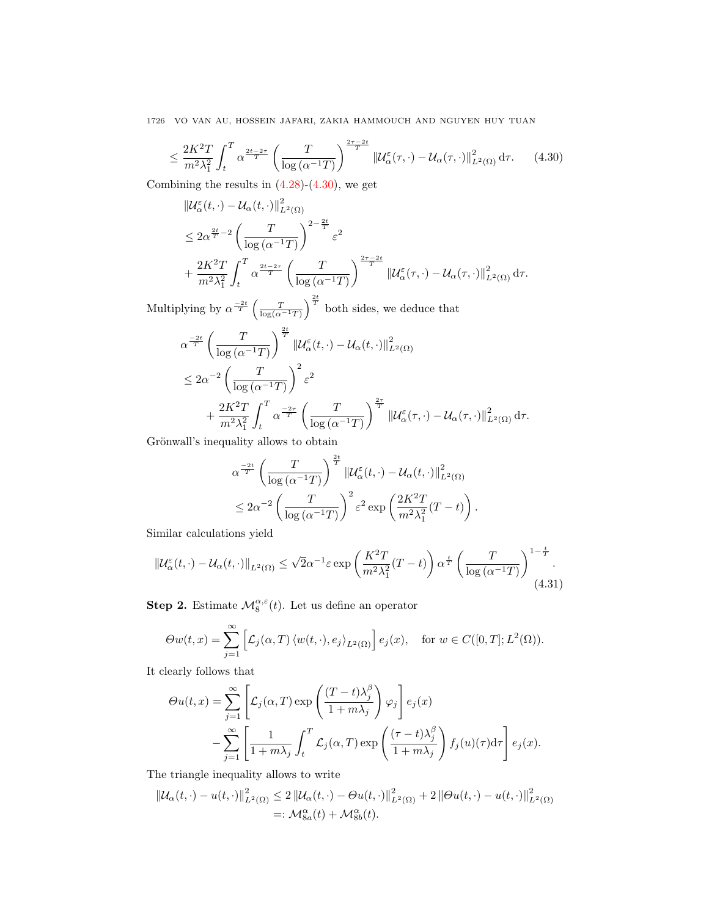$$
\leq \frac{2K^2T}{m^2\lambda_1^2} \int_t^T \alpha^{\frac{2t-2\tau}{T}} \left(\frac{T}{\log\left(\alpha^{-1}T\right)}\right)^{\frac{2\tau-2t}{T}} \left\| \mathcal{U}_{\alpha}^{\varepsilon}(\tau,\cdot) - \mathcal{U}_{\alpha}(\tau,\cdot) \right\|_{L^2(\Omega)}^2 d\tau. \tag{4.30}
$$

Combining the results in  $(4.28)-(4.30)$  $(4.28)-(4.30)$  $(4.28)-(4.30)$ , we get

<span id="page-17-0"></span>
$$
\label{eq:20} \begin{split} &\left\|\mathcal{U}^{\varepsilon}_{\alpha}(t,\cdot)-\mathcal{U}_{\alpha}(t,\cdot)\right\|^{2}_{L^{2}(\Omega)}\\ &\leq 2\alpha^{\frac{2t}{T}-2}\left(\frac{T}{\log\left(\alpha^{-1}T\right)}\right)^{2-\frac{2t}{T}}\varepsilon^{2}\\ &+\frac{2K^{2}T}{m^{2}\lambda_{1}^{2}}\int_{t}^{T}\alpha^{\frac{2t-2\tau}{T}}\left(\frac{T}{\log\left(\alpha^{-1}T\right)}\right)^{\frac{2\tau-2t}{T}}\left\|\mathcal{U}^{\varepsilon}_{\alpha}(\tau,\cdot)-\mathcal{U}_{\alpha}(\tau,\cdot)\right\|^{2}_{L^{2}(\Omega)}\mathrm{d}\tau. \end{split}
$$

Multiplying by  $\alpha^{\frac{-2t}{T}}\left(\frac{T}{\log(\alpha^{-1}T)}\right)^{\frac{2t}{T}}$  both sides, we deduce that

$$
\alpha^{\frac{-2t}{T}} \left( \frac{T}{\log(\alpha^{-1}T)} \right)^{\frac{2t}{T}} \| \mathcal{U}_{\alpha}^{\varepsilon}(t, \cdot) - \mathcal{U}_{\alpha}(t, \cdot) \|_{L^{2}(\Omega)}^{2}
$$
\n
$$
\leq 2\alpha^{-2} \left( \frac{T}{\log(\alpha^{-1}T)} \right)^{2} \varepsilon^{2}
$$
\n
$$
+ \frac{2K^{2}T}{m^{2}\lambda_{1}^{2}} \int_{t}^{T} \alpha^{\frac{-2\tau}{T}} \left( \frac{T}{\log(\alpha^{-1}T)} \right)^{\frac{2\tau}{T}} \| \mathcal{U}_{\alpha}^{\varepsilon}(\tau, \cdot) - \mathcal{U}_{\alpha}(\tau, \cdot) \|_{L^{2}(\Omega)}^{2} d\tau.
$$

Grönwall's inequality allows to obtain

<span id="page-17-1"></span>
$$
\alpha^{\frac{-2t}{T}} \left( \frac{T}{\log(\alpha^{-1}T)} \right)^{\frac{2t}{T}} \|\mathcal{U}_{\alpha}^{\varepsilon}(t,\cdot)-\mathcal{U}_{\alpha}(t,\cdot)\|_{L^{2}(\Omega)}^{2}
$$
  

$$
\leq 2\alpha^{-2} \left( \frac{T}{\log(\alpha^{-1}T)} \right)^{2} \varepsilon^{2} \exp\left( \frac{2K^{2}T}{m^{2}\lambda_{1}^{2}}(T-t) \right).
$$

Similar calculations yield

$$
\|\mathcal{U}_{\alpha}^{\varepsilon}(t,\cdot)-\mathcal{U}_{\alpha}(t,\cdot)\|_{L^{2}(\Omega)} \leq \sqrt{2}\alpha^{-1}\varepsilon \exp\left(\frac{K^{2}T}{m^{2}\lambda_{1}^{2}}(T-t)\right)\alpha^{\frac{t}{T}}\left(\frac{T}{\log\left(\alpha^{-1}T\right)}\right)^{1-\frac{t}{T}}.\tag{4.31}
$$

**Step 2.** Estimate  $\mathcal{M}_{8}^{\alpha,\varepsilon}(t)$ . Let us define an operator

$$
\Theta w(t,x) = \sum_{j=1}^{\infty} \left[ \mathcal{L}_j(\alpha, T) \left\langle w(t, \cdot), e_j \right\rangle_{L^2(\Omega)} \right] e_j(x), \quad \text{for } w \in C([0, T]; L^2(\Omega)).
$$

It clearly follows that

$$
\Theta u(t,x) = \sum_{j=1}^{\infty} \left[ \mathcal{L}_j(\alpha, T) \exp\left(\frac{(T-t)\lambda_j^{\beta}}{1+m\lambda_j}\right) \varphi_j \right] e_j(x)
$$

$$
- \sum_{j=1}^{\infty} \left[ \frac{1}{1+m\lambda_j} \int_t^T \mathcal{L}_j(\alpha, T) \exp\left(\frac{(\tau-t)\lambda_j^{\beta}}{1+m\lambda_j}\right) f_j(u)(\tau) d\tau \right] e_j(x).
$$

The triangle inequality allows to write

$$
\|U_{\alpha}(t,\cdot)-u(t,\cdot)\|_{L^{2}(\Omega)}^{2} \leq 2\left\|U_{\alpha}(t,\cdot)-\Theta u(t,\cdot)\right\|_{L^{2}(\Omega)}^{2} + 2\left\|\Theta u(t,\cdot)-u(t,\cdot)\right\|_{L^{2}(\Omega)}^{2}
$$
  
=:  $\mathcal{M}_{\mathcal{S}_{a}}^{a}(t) + \mathcal{M}_{\mathcal{S}_{b}}^{a}(t).$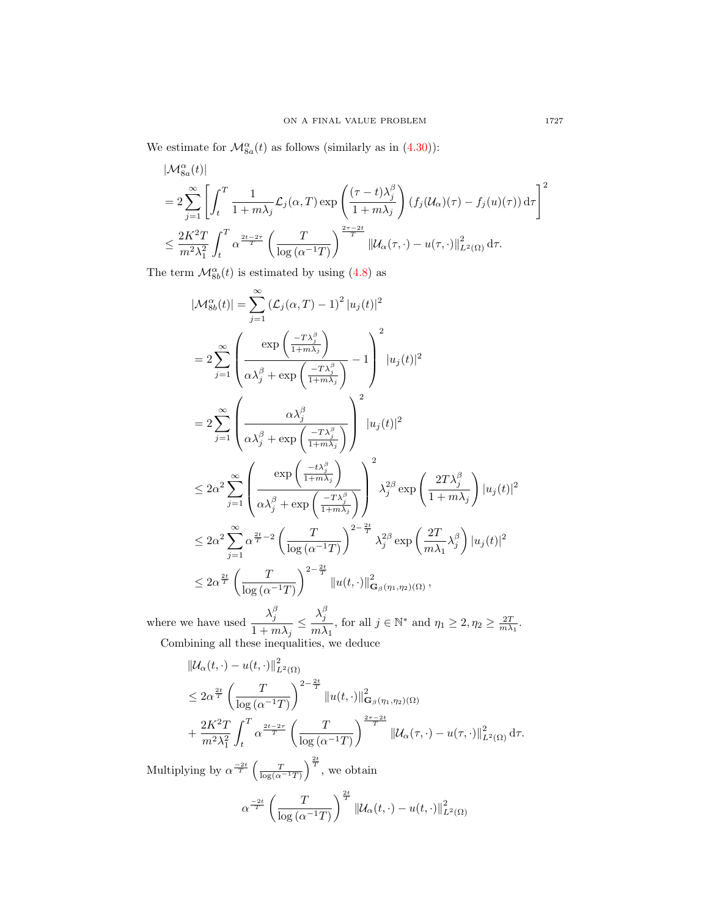We estimate for  $\mathcal{M}^{\alpha}_{8a}(t)$  as follows (similarly as in [\(4.30\)](#page-17-0)):

$$
\begin{split} &|\mathcal{M}^{\alpha}_{8a}(t)|\\ &=2\sum_{j=1}^{\infty}\left[\int_{t}^{T}\frac{1}{1+m\lambda_{j}}\mathcal{L}_{j}(\alpha,T)\exp\left(\frac{(\tau-t)\lambda_{j}^{\beta}}{1+m\lambda_{j}}\right)\left(f_{j}(\mathcal{U}_{\alpha})(\tau)-f_{j}(u)(\tau)\right)\mathrm{d}\tau\right]^{2}\\ &\leq\frac{2K^{2}T}{m^{2}\lambda_{1}^{2}}\int_{t}^{T}\alpha^{\frac{2t-2\tau}{T}}\left(\frac{T}{\log\left(\alpha^{-1}T\right)}\right)^{\frac{2\tau-2t}{T}}\left\|\mathcal{U}_{\alpha}(\tau,\cdot)-u(\tau,\cdot)\right\|^{2}_{L^{2}(\Omega)}\mathrm{d}\tau. \end{split}
$$

The term  $\mathcal{M}_{8b}^{\alpha}(t)$  is estimated by using [\(4.8\)](#page-11-3) as

$$
\begin{split} &|\mathcal{M}^{\alpha}_{8b}(t)|=\sum_{j=1}^{\infty}\left(\mathcal{L}_{j}(\alpha, T)-1\right)^{2}|u_{j}(t)|^{2} \\ &=2\sum_{j=1}^{\infty}\left(\frac{\exp\left(\frac{-T\lambda_{j}^{\beta}}{1+m\lambda_{j}}\right)}{\alpha\lambda_{j}^{\beta}+\exp\left(\frac{-T\lambda_{j}^{\beta}}{1+m\lambda_{j}}\right)}-1\right)^{2}|u_{j}(t)|^{2} \\ &=2\sum_{j=1}^{\infty}\left(\frac{\alpha\lambda_{j}^{\beta}}{\alpha\lambda_{j}^{\beta}+\exp\left(\frac{-T\lambda_{j}^{\beta}}{1+m\lambda_{j}}\right)}\right)^{2}|u_{j}(t)|^{2} \\ &\leq 2\alpha^{2}\sum_{j=1}^{\infty}\left(\frac{\exp\left(\frac{-t\lambda_{j}^{\beta}}{1+m\lambda_{j}}\right)}{\alpha\lambda_{j}^{\beta}+\exp\left(\frac{-T\lambda_{j}^{\beta}}{1+m\lambda_{j}}\right)}\right)^{2}\lambda_{j}^{2\beta}\exp\left(\frac{2T\lambda_{j}^{\beta}}{1+m\lambda_{j}}\right)|u_{j}(t)|^{2} \\ &\leq 2\alpha^{2}\sum_{j=1}^{\infty}\alpha^{\frac{2t}{2}-2}\left(\frac{T}{\log\left(\alpha^{-1}T\right)}\right)^{2-\frac{2t}{T}}\lambda_{j}^{2\beta}\exp\left(\frac{2T}{m\lambda_{1}}\lambda_{j}^{\beta}\right)|u_{j}(t)|^{2} \\ &\leq 2\alpha^{\frac{2t}{T}}\left(\frac{T}{\log\left(\alpha^{-1}T\right)}\right)^{2-\frac{2t}{T}}\|u(t,\cdot)\|^{2}_{\mathbf{G}_{\beta}(\eta_{1},\eta_{2})(\Omega)}, \end{split}
$$

where we have used  $\lambda^\beta_j$  $\frac{\lambda_j^\beta}{1+m\lambda_j}\leq \frac{\lambda_j^\beta}{m\lambda}$  $\frac{\lambda_j}{m\lambda_1}$ , for all  $j \in \mathbb{N}^*$  and  $\eta_1 \geq 2, \eta_2 \geq \frac{2T}{m\lambda_1}$ . Combining all these inequalities, we deduce

$$
\|U_{\alpha}(t,\cdot)-u(t,\cdot)\|_{L^{2}(\Omega)}^{2}
$$
\n
$$
\leq 2\alpha^{\frac{2t}{T}}\left(\frac{T}{\log(\alpha^{-1}T)}\right)^{2-\frac{2t}{T}}\|u(t,\cdot)\|_{\mathbf{G}_{\beta}(\eta_{1},\eta_{2})(\Omega)}^{2}
$$
\n
$$
+\frac{2K^{2}T}{m^{2}n^{2}}\int_{0}^{T}\alpha^{\frac{2t-2\tau}{T}}\left(\frac{T}{\log(\alpha^{-1}T)}\right)^{\frac{2\tau-2t}{T}}\|U_{\alpha}(\tau,\cdot)-u(\tau,\cdot)\|_{L^{2}(\Omega)}^{2}\,\mathrm{d}\tau.
$$

 $\log(\alpha^{-1}T)$ 

Multiplying by  $\alpha^{\frac{-2t}{T}}\left(\frac{T}{\log(\alpha^{-1}T)}\right)^{\frac{2t}{T}}$ , we obtain

t

 $m^2\lambda_1^2$ 

$$
\alpha^{\frac{-2t}{T}}\left(\frac{T}{\log\left(\alpha^{-1}T\right)}\right)^{\frac{2t}{T}}\left\|\mathcal{U}_{\alpha}(t,\cdot)-u(t,\cdot)\right\|_{L^{2}(\Omega)}^{2}
$$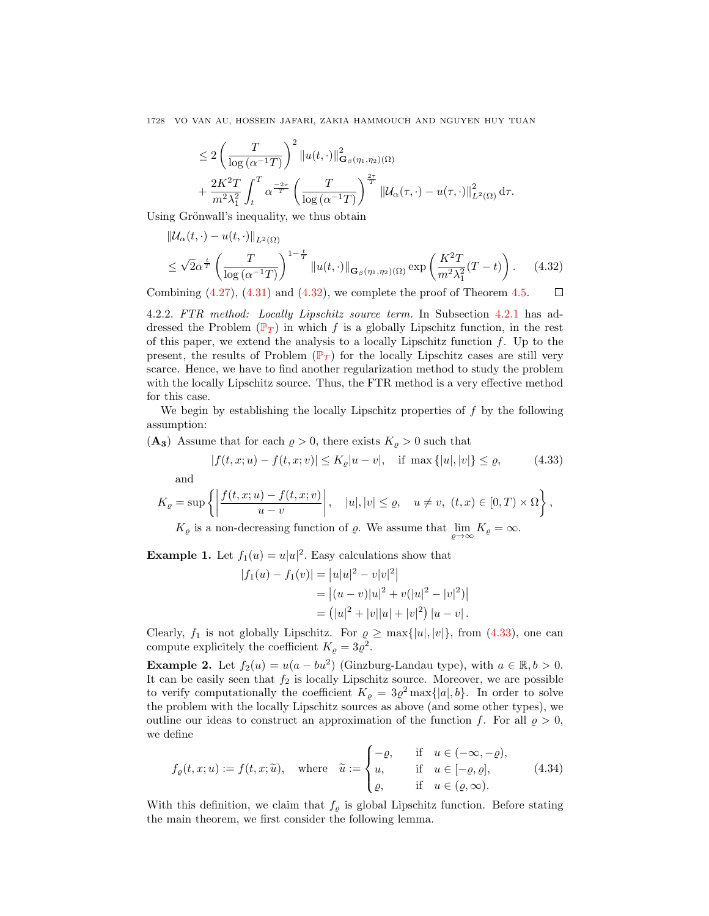<span id="page-19-1"></span>
$$
\leq 2\left(\frac{T}{\log\left(\alpha^{-1}T\right)}\right)^2\|u(t,\cdot)\|_{\mathbf{G}_{\beta}(\eta_1,\eta_2)(\Omega)}^2 + \frac{2K^2T}{m^2\lambda_1^2}\int_t^T\alpha^{\frac{-2\tau}{T}}\left(\frac{T}{\log\left(\alpha^{-1}T\right)}\right)^{\frac{2\tau}{T}}\left\|\mathcal{U}_{\alpha}(\tau,\cdot)-u(\tau,\cdot)\right\|_{L^2(\Omega)}^2\mathrm{d}\tau.
$$

Using Grönwall's inequality, we thus obtain

$$
\|\mathcal{U}_{\alpha}(t,\cdot)-u(t,\cdot)\|_{L^{2}(\Omega)}
$$
\n
$$
\leq \sqrt{2}\alpha^{\frac{t}{T}}\left(\frac{T}{\log\left(\alpha^{-1}T\right)}\right)^{1-\frac{t}{T}}\|u(t,\cdot)\|_{\mathbf{G}_{\beta}(\eta_{1},\eta_{2})(\Omega)}\exp\left(\frac{K^{2}T}{m^{2}\lambda_{1}^{2}}(T-t)\right). \tag{4.32}
$$

Combining  $(4.27)$ ,  $(4.31)$  and  $(4.32)$ , we complete the proof of Theorem [4.5.](#page-15-3)  $\Box$ 

<span id="page-19-0"></span>4.2.2. FTR method: Locally Lipschitz source term. In Subsection [4.2.1](#page-10-2) has ad-dressed the [P](#page-0-0)roblem  $(\mathbb{P}_T)$  in which f is a globally Lipschitz function, in the rest of this paper, we extend the analysis to a locally Lipschitz function  $f$ . Up to the present, the results of [P](#page-0-0)roblem  $(\mathbb{P}_T)$  for the locally Lipschitz cases are still very scarce. Hence, we have to find another regularization method to study the problem with the locally Lipschitz source. Thus, the FTR method is a very effective method for this case.

We begin by establishing the locally Lipschitz properties of  $f$  by the following assumption:

 $(A_3)$  Assume that for each  $\rho > 0$ , there exists  $K_\rho > 0$  such that

<span id="page-19-2"></span>
$$
|f(t, x; u) - f(t, x; v)| \le K_{\varrho} |u - v|, \quad \text{if } \max\{|u|, |v|\} \le \varrho,
$$
 (4.33)

and

$$
K_{\varrho} = \sup \left\{ \left| \frac{f(t, x; u) - f(t, x; v)}{u - v} \right|, \quad |u|, |v| \leq \varrho, \quad u \neq v, \ (t, x) \in [0, T) \times \Omega \right\},\
$$

 $K_{\varrho}$  is a non-decreasing function of  $\varrho$ . We assume that  $\lim_{\varrho \to \infty} K_{\varrho} = \infty$ .

**Example 1.** Let  $f_1(u) = u|u|^2$ . Easy calculations show that

<span id="page-19-3"></span>
$$
|f_1(u) - f_1(v)| = |u|u|^2 - v|v|^2
$$
  
=  $|(u - v)|u|^2 + v(|u|^2 - |v|^2)|$   
=  $(|u|^2 + |v||u| + |v|^2) |u - v|$ .

Clearly,  $f_1$  is not globally Lipschitz. For  $\rho \ge \max\{|u|, |v|\}$ , from [\(4.33\)](#page-19-2), one can compute explicitely the coefficient  $K_{\rho} = 3\varrho^2$ .

**Example 2.** Let  $f_2(u) = u(a - bu^2)$  (Ginzburg-Landau type), with  $a \in \mathbb{R}, b > 0$ . It can be easily seen that  $f_2$  is locally Lipschitz source. Moreover, we are possible to verify computationally the coefficient  $K_{\varrho} = 3\varrho^2 \max\{|a|, b\}$ . In order to solve the problem with the locally Lipschitz sources as above (and some other types), we outline our ideas to construct an approximation of the function f. For all  $\rho > 0$ , we define

$$
f_{\varrho}(t, x; u) := f(t, x; \tilde{u}), \quad \text{where} \quad \tilde{u} := \begin{cases} -\varrho, & \text{if} \quad u \in (-\infty, -\varrho), \\ u, & \text{if} \quad u \in [-\varrho, \varrho], \\ \varrho, & \text{if} \quad u \in (\varrho, \infty). \end{cases} \tag{4.34}
$$

With this definition, we claim that  $f_{\varrho}$  is global Lipschitz function. Before stating the main theorem, we first consider the following lemma.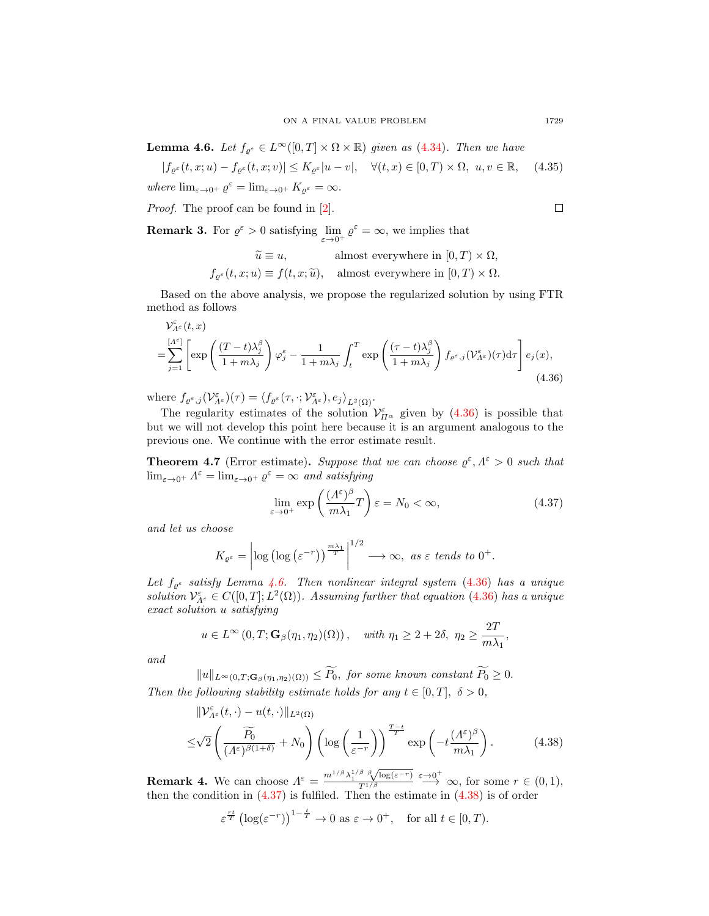<span id="page-20-1"></span>**Lemma 4.6.** Let  $f_{\varrho^{\varepsilon}} \in L^{\infty}([0,T] \times \Omega \times \mathbb{R})$  given as [\(4.34\)](#page-19-3). Then we have

$$
|f_{\varrho^{\varepsilon}}(t, x; u) - f_{\varrho^{\varepsilon}}(t, x; v)| \le K_{\varrho^{\varepsilon}} |u - v|, \quad \forall (t, x) \in [0, T) \times \Omega, \ u, v \in \mathbb{R}, \quad (4.35)
$$
  
where  $\lim_{\varepsilon \to 0^+} \varrho^{\varepsilon} = \lim_{\varepsilon \to 0^+} K_{\varrho^{\varepsilon}} = \infty.$ 

Proof. The proof can be found in [\[2\]](#page-24-16).

<span id="page-20-0"></span>
$$
\Box
$$

**Remark 3.** For  $\varrho^{\varepsilon} > 0$  satisfying  $\lim_{\varepsilon \to 0^+} \varrho^{\varepsilon} = \infty$ , we implies that

$$
\widetilde{u} \equiv u, \qquad \text{almost everywhere in } [0, T) \times \Omega,
$$
  

$$
f_{\varrho^{\varepsilon}}(t, x; u) \equiv f(t, x; \widetilde{u}), \quad \text{almost everywhere in } [0, T) \times \Omega.
$$

Based on the above analysis, we propose the regularized solution by using FTR method as follows

$$
\mathcal{V}_{\Lambda^{\varepsilon}}^{\varepsilon}(t,x) = \sum_{j=1}^{[\Lambda^{\varepsilon}]} \left[ \exp\left(\frac{(T-t)\lambda_{j}^{\beta}}{1+m\lambda_{j}}\right) \varphi_{j}^{\varepsilon} - \frac{1}{1+m\lambda_{j}} \int_{t}^{T} \exp\left(\frac{(\tau-t)\lambda_{j}^{\beta}}{1+m\lambda_{j}}\right) f_{\varrho^{\varepsilon},j}(\mathcal{V}_{\Lambda^{\varepsilon}}^{\varepsilon})(\tau) d\tau \right] e_{j}(x), \tag{4.36}
$$

where  $f_{\varrho^{\varepsilon},j}(\mathcal{V}_{\Lambda^{\varepsilon}}^{\varepsilon})(\tau) = \langle f_{\varrho^{\varepsilon}}(\tau,\cdot;\mathcal{V}_{\Lambda^{\varepsilon}}^{\varepsilon}),e_j\rangle_{L^2(\Omega)}$ .

The regularity estimates of the solution  $\mathcal{V}_{\Pi^{\alpha}}^{\varepsilon}$  given by [\(4.36\)](#page-20-0) is possible that but we will not develop this point here because it is an argument analogous to the previous one. We continue with the error estimate result.

<span id="page-20-4"></span>**Theorem 4.7** (Error estimate). Suppose that we can choose  $\varrho^{\varepsilon}, \Lambda^{\varepsilon} > 0$  such that  $\lim_{\varepsilon \to 0^+} \Lambda^{\varepsilon} = \lim_{\varepsilon \to 0^+} \varrho^{\varepsilon} = \infty$  and satisfying

<span id="page-20-2"></span>
$$
\lim_{\varepsilon \to 0^+} \exp\left(\frac{(A^{\varepsilon})^{\beta}}{m\lambda_1}T\right)\varepsilon = N_0 < \infty,\tag{4.37}
$$

and let us choose

$$
K_{\varrho^{\varepsilon}} = \left| \log \left( \log \left( \varepsilon^{-r} \right) \right)^{\frac{m\lambda_1}{T}} \right|^{1/2} \longrightarrow \infty, \text{ as } \varepsilon \text{ tends to } 0^+.
$$

Let  $f_{\varrho^{\varepsilon}}$  satisfy Lemma [4.6.](#page-20-1) Then nonlinear integral system [\(4.36\)](#page-20-0) has a unique solution  $\mathcal{V}_{A^{\varepsilon}}^{\varepsilon} \in C([0,T];L^2(\Omega))$ . Assuming further that equation [\(4.36\)](#page-20-0) has a unique exact solution u satisfying

$$
u \in L^{\infty}(0,T; \mathbf{G}_{\beta}(\eta_1, \eta_2)(\Omega)), \text{ with } \eta_1 \geq 2+2\delta, \eta_2 \geq \frac{2T}{m\lambda_1},
$$

and

 $||u||_{L^{\infty}(0,T;\mathbf{G}_{\beta}(\eta_1,\eta_2)(\Omega))} \leq \widetilde{P}_0$ , for some known constant  $\widetilde{P}_0 \geq 0$ . Then the following stability estimate holds for any  $t \in [0, T]$ ,  $\delta > 0$ ,

$$
\|\mathcal{V}_{\Lambda^{\varepsilon}}^{\varepsilon}(t,\cdot)-u(t,\cdot)\|_{L^{2}(\Omega)}
$$
  

$$
\leq\sqrt{2}\left(\frac{\widetilde{P_{0}}}{(\Lambda^{\varepsilon})^{\beta(1+\delta)}}+N_{0}\right)\left(\log\left(\frac{1}{\varepsilon^{-r}}\right)\right)^{\frac{T-t}{T}}\exp\left(-t\frac{(\Lambda^{\varepsilon})^{\beta}}{m\lambda_{1}}\right).
$$
 (4.38)

**Remark 4.** We can choose  $\Lambda^{\varepsilon} = \frac{m^{1/\beta} \lambda_1^{1/\beta} \beta \sqrt{\log(\varepsilon^{-r})}}{T^{1/\beta}}$  $T^{1/\beta}$  $\stackrel{\varepsilon\to 0^+}{\longrightarrow} \infty$ , for some  $r \in (0,1)$ , then the condition in  $(4.37)$  is fulfiled. Then the estimate in  $(4.38)$  is of order

<span id="page-20-3"></span>
$$
\varepsilon^{\frac{rt}{T}} \left( \log(\varepsilon^{-r}) \right)^{1-\frac{t}{T}} \to 0 \text{ as } \varepsilon \to 0^+, \quad \text{for all } t \in [0, T).
$$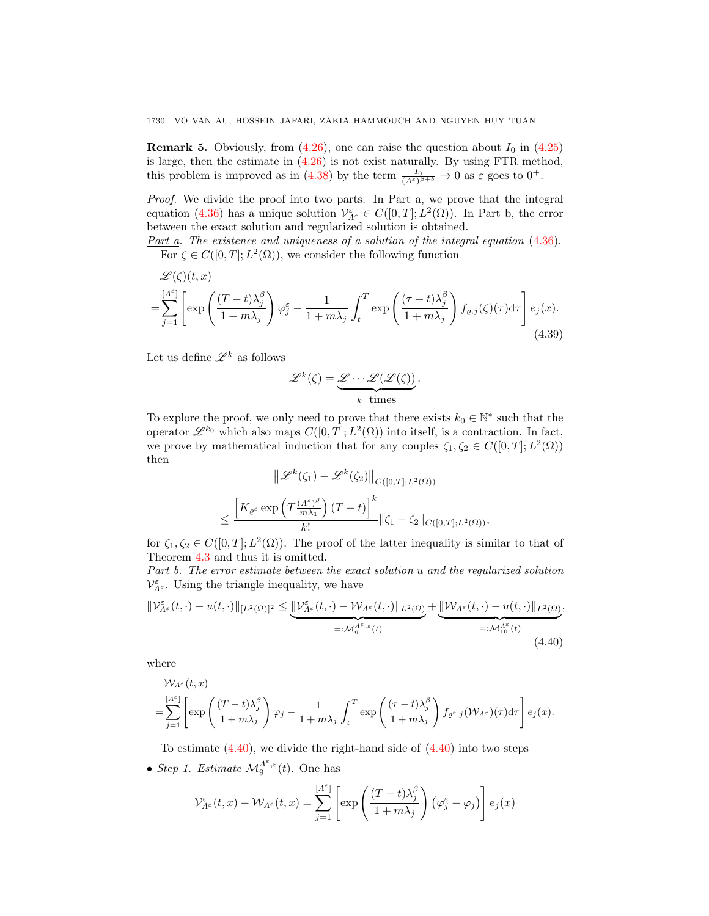**Remark 5.** Obviously, from [\(4.26\)](#page-15-1), one can raise the question about  $I_0$  in [\(4.25\)](#page-15-4) is large, then the estimate in [\(4.26\)](#page-15-1) is not exist naturally. By using FTR method, this problem is improved as in [\(4.38\)](#page-20-3) by the term  $\frac{I_0}{(A^{\varepsilon})^{\beta+\delta}} \to 0$  as  $\varepsilon$  goes to  $0^+$ .

Proof. We divide the proof into two parts. In Part a, we prove that the integral equation [\(4.36\)](#page-20-0) has a unique solution  $\mathcal{V}_{A^{\varepsilon}}^{\varepsilon} \in C([0,T];L^2(\Omega))$ . In Part b, the error between the exact solution and regularized solution is obtained.

Part a. The existence and uniqueness of a solution of the integral equation  $(4.36)$ . For  $\zeta \in C([0,T]; L^2(\Omega))$ , we consider the following function

$$
\mathcal{L}(\zeta)(t,x) = \sum_{j=1}^{[A^{\varepsilon}]} \left[ \exp\left(\frac{(T-t)\lambda_j^{\beta}}{1+m\lambda_j}\right) \varphi_j^{\varepsilon} - \frac{1}{1+m\lambda_j} \int_t^T \exp\left(\frac{(\tau-t)\lambda_j^{\beta}}{1+m\lambda_j}\right) f_{\varrho,j}(\zeta)(\tau) d\tau \right] e_j(x).
$$
\n(4.39)

Let us define  $\mathscr{L}^k$  as follows

$$
\mathscr{L}^k(\zeta) = \underbrace{\mathscr{L} \cdots \mathscr{L}(\mathscr{L}(\zeta))}_{k-\text{times}}.
$$

To explore the proof, we only need to prove that there exists  $k_0 \in \mathbb{N}^*$  such that the operator  $\mathscr{L}^{k_0}$  which also maps  $C([0,T];L^2(\Omega))$  into itself, is a contraction. In fact, we prove by mathematical induction that for any couples  $\zeta_1, \zeta_2 \in C([0,T]; L^2(\Omega))$ then

<span id="page-21-0"></span>
$$
\|\mathscr{L}^k(\zeta_1) - \mathscr{L}^k(\zeta_2)\|_{C([0,T];L^2(\Omega))}
$$
  

$$
\leq \frac{\left[K_{\varrho^\varepsilon} \exp\left(T\frac{(A^\varepsilon)^\beta}{m\lambda_1}\right)(T-t)\right]^k}{k!} \|\zeta_1 - \zeta_2\|_{C([0,T];L^2(\Omega))},
$$

for  $\zeta_1, \zeta_2 \in C([0,T]; L^2(\Omega))$ . The proof of the latter inequality is similar to that of Theorem [4.3](#page-12-1) and thus it is omitted.

Part b. The error estimate between the exact solution u and the regularized solution  $\mathcal{V}^{\varepsilon}_{\varLambda^{\varepsilon}}.$  Using the triangle inequality, we have

$$
\|\mathcal{V}_{\Lambda^{\varepsilon}}^{\varepsilon}(t,\cdot)-u(t,\cdot)\|_{[L^{2}(\Omega)]^{2}} \leq \underbrace{\|\mathcal{V}_{\Lambda^{\varepsilon}}^{\varepsilon}(t,\cdot)-\mathcal{W}_{\Lambda^{\varepsilon}}(t,\cdot)\|_{L^{2}(\Omega)}}_{=: \mathcal{M}_{9}^{\Lambda^{\varepsilon},\varepsilon}(t)} + \underbrace{\|\mathcal{W}_{\Lambda^{\varepsilon}}(t,\cdot)-u(t,\cdot)\|_{L^{2}(\Omega)}}_{=: \mathcal{M}_{10}^{\Lambda^{\varepsilon}}(t)},\tag{4.40}
$$

where

$$
\mathcal{W}_{\Lambda^{\varepsilon}}(t,x) = \sum_{j=1}^{[\Lambda^{\varepsilon}]} \left[ \exp\left(\frac{(T-t)\lambda_j^{\beta}}{1+m\lambda_j}\right) \varphi_j - \frac{1}{1+m\lambda_j} \int_t^T \exp\left(\frac{(\tau-t)\lambda_j^{\beta}}{1+m\lambda_j}\right) f_{\varrho^{\varepsilon},j}(\mathcal{W}_{\Lambda^{\varepsilon}})(\tau) d\tau \right] e_j(x).
$$

To estimate  $(4.40)$ , we divide the right-hand side of  $(4.40)$  into two steps

• Step 1. Estimate  $\mathcal{M}_9^{\Lambda^{\varepsilon},\varepsilon}(t)$ . One has

$$
\mathcal{V}_{\Lambda^{\varepsilon}}^{\varepsilon}(t,x) - \mathcal{W}_{\Lambda^{\varepsilon}}(t,x) = \sum_{j=1}^{\lceil \Lambda^{\varepsilon} \rceil} \left[ \exp \left( \frac{(T-t)\lambda_j^{\beta}}{1+m\lambda_j} \right) (\varphi_j^{\varepsilon} - \varphi_j) \right] e_j(x)
$$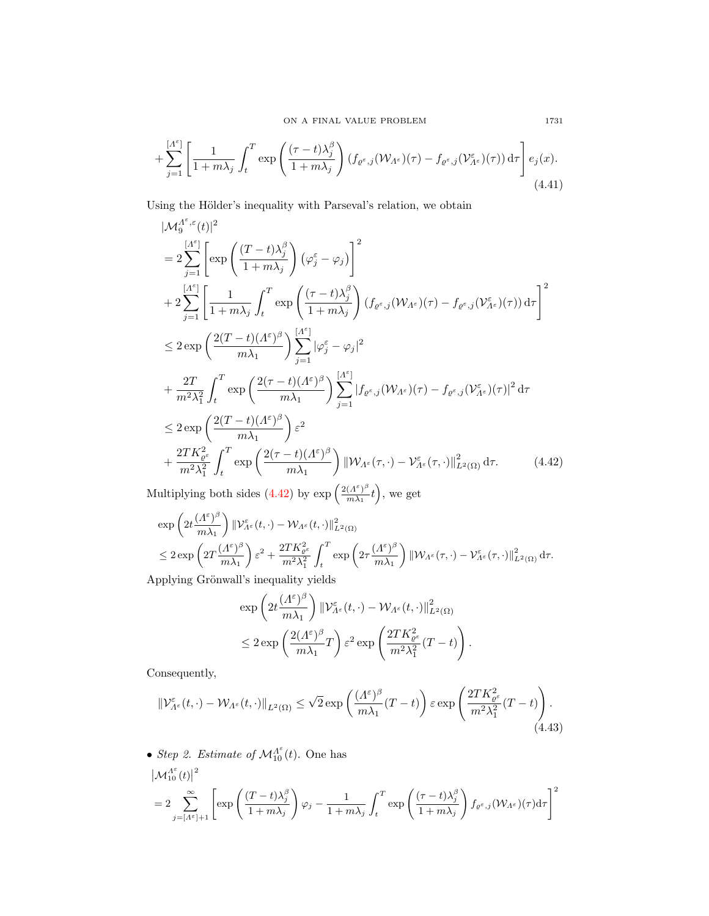$$
+\sum_{j=1}^{[A^{\varepsilon}]} \left[ \frac{1}{1+m\lambda_j} \int_t^T \exp\left( \frac{(\tau-t)\lambda_j^{\beta}}{1+m\lambda_j} \right) (f_{\varrho^{\varepsilon},j}(\mathcal{W}_{A^{\varepsilon}})(\tau) - f_{\varrho^{\varepsilon},j}(\mathcal{V}_{A^{\varepsilon}}^{\varepsilon})(\tau)) d\tau \right] e_j(x).
$$
\n(4.41)

Using the Hölder's inequality with Parseval's relation, we obtain

$$
\begin{split}\n&|\mathcal{M}_{9}^{A^{\varepsilon},\varepsilon}(t)|^{2} \\
&=2\sum_{j=1}^{\lceil A^{\varepsilon} \rceil} \left[ \exp\left(\frac{(T-t)\lambda_{j}^{\beta}}{1+m\lambda_{j}}\right) (\varphi_{j}^{\varepsilon}-\varphi_{j}) \right]^{2} \\
&+2\sum_{j=1}^{\lceil A^{\varepsilon} \rceil} \left[ \frac{1}{1+m\lambda_{j}} \int_{t}^{T} \exp\left(\frac{(\tau-t)\lambda_{j}^{\beta}}{1+m\lambda_{j}}\right) (f_{\varrho^{\varepsilon},j}(\mathcal{W}_{A^{\varepsilon}})(\tau)-f_{\varrho^{\varepsilon},j}(\mathcal{V}_{A^{\varepsilon}}^{\varepsilon})(\tau)) d\tau \right]^{2} \\
&\leq 2 \exp\left(\frac{2(T-t)(A^{\varepsilon})^{\beta}}{m\lambda_{1}}\right) \sum_{j=1}^{\lceil A^{\varepsilon} \rceil} |\varphi_{j}^{\varepsilon}-\varphi_{j}|^{2} \\
&+\frac{2T}{m^{2}\lambda_{1}^{2}} \int_{t}^{T} \exp\left(\frac{2(\tau-t)(A^{\varepsilon})^{\beta}}{m\lambda_{1}}\right) \sum_{j=1}^{\lceil A^{\varepsilon} \rceil} |f_{\varrho^{\varepsilon},j}(\mathcal{W}_{A^{\varepsilon}})(\tau)-f_{\varrho^{\varepsilon},j}(\mathcal{V}_{A^{\varepsilon}}^{\varepsilon})(\tau)|^{2} d\tau \\
&\leq 2 \exp\left(\frac{2(T-t)(A^{\varepsilon})^{\beta}}{m\lambda_{1}}\right) \varepsilon^{2} \\
&+\frac{2TK_{\varrho^{\varepsilon}}^{2}}{m^{2}\lambda_{1}^{2}} \int_{t}^{T} \exp\left(\frac{2(\tau-t)(A^{\varepsilon})^{\beta}}{m\lambda_{1}}\right) ||\mathcal{W}_{A^{\varepsilon}}(\tau,\cdot)-\mathcal{V}_{A^{\varepsilon}}^{\varepsilon}(\tau,\cdot)||_{L^{2}(\Omega)}^{2} d\tau. \end{split} \tag{4.42}
$$

Multiplying both sides [\(4.42\)](#page-22-0) by  $\exp\left(\frac{2(A^{\epsilon})^{\beta}}{m\lambda}\right)$  $\frac{(A^{\varepsilon})^{\beta}}{m\lambda_1}t\Big),$  we get

$$
\begin{aligned} &\exp\left(2t\frac{(A^{\varepsilon})^{\beta}}{m\lambda_1}\right)\left\|\mathcal{V}^{\varepsilon}_{A^{\varepsilon}}(t,\cdot)-\mathcal{W}_{A^{\varepsilon}}(t,\cdot)\right\|^{2}_{L^{2}(\Omega)}\\ &\leq 2\exp\left(2T\frac{(A^{\varepsilon})^{\beta}}{m\lambda_1}\right)\varepsilon^{2}+\frac{2TK_{\varrho^{\varepsilon}}^{2}}{m^{2}\lambda_1^{2}}\int_{t}^{T}\exp\left(2\tau\frac{(A^{\varepsilon})^{\beta}}{m\lambda_1}\right)\left\|\mathcal{W}_{A^{\varepsilon}}(\tau,\cdot)-\mathcal{V}^{\varepsilon}_{A^{\varepsilon}}(\tau,\cdot)\right\|^{2}_{L^{2}(\Omega)}\mathrm{d}\tau.\\ &\lim_{\varepsilon\to 0}\lim_{\varepsilon\to 0}\lim_{\varepsilon\to 0}\lim_{\varepsilon\to 0}\lim_{\varepsilon\to 0}\lim_{\varepsilon\to 0}\lim_{\varepsilon\to 0}\lim_{\varepsilon\to 0}\lim_{\varepsilon\to 0}\sup_{\varepsilon\to 0}\left\|\mathcal{W}_{A^{\varepsilon}}(\tau,\cdot)-\mathcal{V}^{\varepsilon}_{A^{\varepsilon}}(\tau,\cdot)\right\|^{2}_{L^{2}(\Omega)}\mathrm{d}\tau.\end{aligned}
$$

Applying Grönwall's inequality yields

<span id="page-22-1"></span><span id="page-22-0"></span>
$$
\exp\left(2t\frac{(A^{\varepsilon})^{\beta}}{m\lambda_1}\right) \|\mathcal{V}_{A^{\varepsilon}}^{\varepsilon}(t,\cdot)-\mathcal{W}_{A^{\varepsilon}}(t,\cdot)\|_{L^2(\Omega)}^2 \n\leq 2\exp\left(\frac{2(A^{\varepsilon})^{\beta}}{m\lambda_1}T\right)\varepsilon^2\exp\left(\frac{2TK_{\varrho^{\varepsilon}}^2}{m^2\lambda_1^2}(T-t)\right).
$$

Consequently,

$$
\|\mathcal{V}_{\Lambda^{\varepsilon}}^{\varepsilon}(t,\cdot)-\mathcal{W}_{\Lambda^{\varepsilon}}(t,\cdot)\|_{L^{2}(\Omega)} \leq \sqrt{2} \exp\left(\frac{(\Lambda^{\varepsilon})^{\beta}}{m\lambda_{1}}(T-t)\right) \varepsilon \exp\left(\frac{2TK_{\varrho^{\varepsilon}}^2}{m^2\lambda_{1}^2}(T-t)\right). \tag{4.43}
$$

• Step 2. Estimate of  $\mathcal{M}_{10}^{\Lambda^{\varepsilon}}(t)$ . One has

$$
\begin{aligned} &\left|\mathcal{M}_{10}^{\Lambda^{\varepsilon}}(t)\right|^{2}\\ &=2\sum_{j=\lceil\Lambda^{\varepsilon}\rceil+1}^{\infty}\left[\exp\left(\frac{(T-t)\lambda_{j}^{\beta}}{1+m\lambda_{j}}\right)\varphi_{j}-\frac{1}{1+m\lambda_{j}}\int_{t}^{T}\exp\left(\frac{(\tau-t)\lambda_{j}^{\beta}}{1+m\lambda_{j}}\right)f_{\varrho^{\varepsilon},j}(\mathcal{W}_{\Lambda^{\varepsilon}})(\tau)\mathrm{d}\tau\right]^{2}\end{aligned}
$$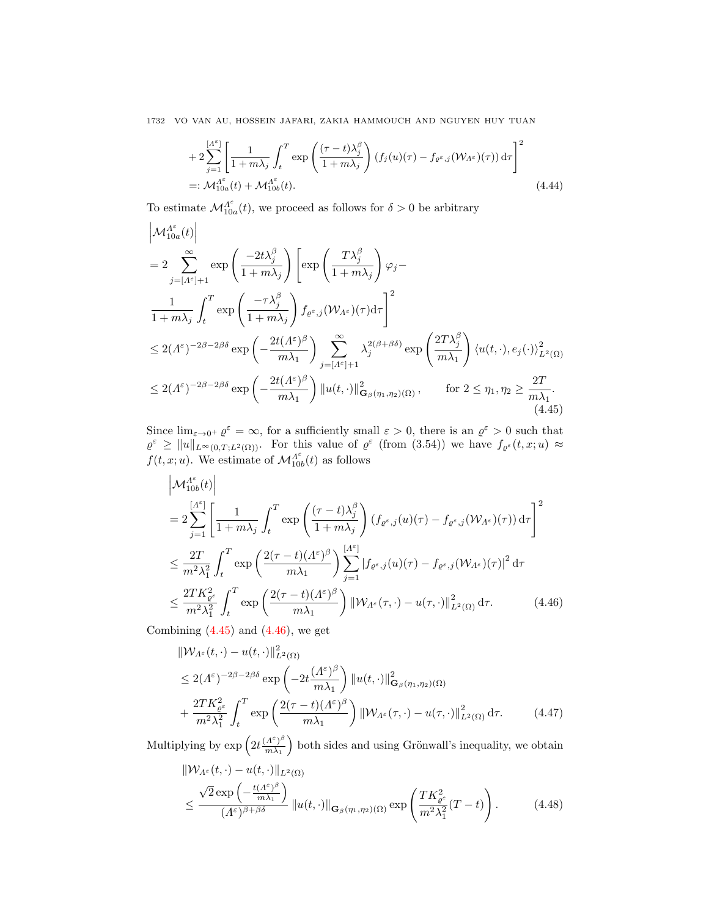$$
+2\sum_{j=1}^{\lfloor A^{\varepsilon}\rfloor} \left[\frac{1}{1+m\lambda_j}\int_t^T \exp\left(\frac{(\tau-t)\lambda_j^{\beta}}{1+m\lambda_j}\right) (f_j(u)(\tau)-f_{\varrho^{\varepsilon},j}(\mathcal{W}_{A^{\varepsilon}})(\tau)) d\tau\right]^2
$$
  
=:  $\mathcal{M}_{10a}^{A^{\varepsilon}}(t) + \mathcal{M}_{10b}^{A^{\varepsilon}}(t).$  (4.44)

To estimate  $\mathcal{M}_{10a}^{\Lambda^{\varepsilon}}(t)$ , we proceed as follows for  $\delta > 0$  be arbitrary

$$
\begin{split} &\left|\mathcal{M}_{10a}^{\Lambda^{\varepsilon}}(t)\right|\\ &=2\sum_{j=[\Lambda^{\varepsilon}]+1}^{\infty}\exp\left(\frac{-2t\lambda_{j}^{\beta}}{1+m\lambda_{j}}\right)\left[\exp\left(\frac{T\lambda_{j}^{\beta}}{1+m\lambda_{j}}\right)\varphi_{j}-\right.\\ &\left.\frac{1}{1+m\lambda_{j}}\int_{t}^{T}\exp\left(\frac{-\tau\lambda_{j}^{\beta}}{1+m\lambda_{j}}\right)f_{\varrho^{\varepsilon},j}(\mathcal{W}_{\Lambda^{\varepsilon}})(\tau)\mathrm{d}\tau\right]^{2}\\ &\le2(\Lambda^{\varepsilon})^{-2\beta-2\beta\delta}\exp\left(-\frac{2t(\Lambda^{\varepsilon})^{\beta}}{m\lambda_{1}}\right)\sum_{j=[\Lambda^{\varepsilon}]+1}^{\infty}\lambda_{j}^{2(\beta+\beta\delta)}\exp\left(\frac{2T\lambda_{j}^{\beta}}{m\lambda_{1}}\right)\left\langle u(t,\cdot),e_{j}(\cdot)\right\rangle_{L^{2}(\Omega)}^{2}\\ &\le2(\Lambda^{\varepsilon})^{-2\beta-2\beta\delta}\exp\left(-\frac{2t(\Lambda^{\varepsilon})^{\beta}}{m\lambda_{1}}\right)\left\Vert u(t,\cdot)\right\Vert_{\mathbf{G}_{\beta}(\eta_{1},\eta_{2})(\Omega)}^{2},\qquad\text{for }2\leq\eta_{1},\eta_{2}\geq\frac{2T}{m\lambda_{1}}. \end{split} \tag{4.45}
$$

Since  $\lim_{\varepsilon \to 0^+} \varrho^{\varepsilon} = \infty$ , for a sufficiently small  $\varepsilon > 0$ , there is an  $\varrho^{\varepsilon} > 0$  such that  $\varrho^{\varepsilon} \geq ||u||_{L^{\infty}(0,T;L^{2}(\Omega))}$ . For this value of  $\varrho^{\varepsilon}$  (from (3.54)) we have  $f_{\varrho^{\varepsilon}}(t,x;u) \approx$  $f(t, x; u)$ . We estimate of  $\mathcal{M}_{10b}^{A^{\varepsilon}}(t)$  as follows

<span id="page-23-0"></span>
$$
\left|\mathcal{M}_{10b}^{A^{\varepsilon}}(t)\right|
$$
\n
$$
=2\sum_{j=1}^{\lceil A^{\varepsilon}\rceil}\left[\frac{1}{1+m\lambda_{j}}\int_{t}^{T}\exp\left(\frac{(\tau-t)\lambda_{j}^{\beta}}{1+m\lambda_{j}}\right)(f_{\varrho^{\varepsilon},j}(u)(\tau)-f_{\varrho^{\varepsilon},j}(\mathcal{W}_{A^{\varepsilon}})(\tau))d\tau\right]^{2}
$$
\n
$$
\leq \frac{2T}{m^{2}\lambda_{1}^{2}}\int_{t}^{T}\exp\left(\frac{2(\tau-t)(A^{\varepsilon})^{\beta}}{m\lambda_{1}}\right)\sum_{j=1}^{\lceil A^{\varepsilon}\rceil}|f_{\varrho^{\varepsilon},j}(u)(\tau)-f_{\varrho^{\varepsilon},j}(\mathcal{W}_{A^{\varepsilon}})(\tau)|^{2}d\tau
$$
\n
$$
\leq \frac{2TK_{\varrho^{\varepsilon}}^2}{m^{2}\lambda_{1}^{2}}\int_{t}^{T}\exp\left(\frac{2(\tau-t)(A^{\varepsilon})^{\beta}}{m\lambda_{1}}\right)\| \mathcal{W}_{A^{\varepsilon}}(\tau,\cdot)-u(\tau,\cdot)\|_{L^{2}(\Omega)}^{2}d\tau.
$$
\n(4.46)

Combining  $(4.45)$  and  $(4.46)$ , we get

<span id="page-23-1"></span>
$$
\|W_{\Lambda^{\varepsilon}}(t,\cdot)-u(t,\cdot)\|_{L^{2}(\Omega)}^{2}
$$
  
\n
$$
\leq 2(\Lambda^{\varepsilon})^{-2\beta-2\beta\delta} \exp\left(-2t\frac{(\Lambda^{\varepsilon})^{\beta}}{m\lambda_{1}}\right) \|u(t,\cdot)\|_{\mathbf{G}_{\beta}(\eta_{1},\eta_{2})(\Omega)}^{2}
$$
  
\n
$$
+\frac{2TK_{\varrho^{\varepsilon}}^{2}}{m^{2}\lambda_{1}^{2}} \int_{t}^{T} \exp\left(\frac{2(\tau-t)(\Lambda^{\varepsilon})^{\beta}}{m\lambda_{1}}\right) \|W_{\Lambda^{\varepsilon}}(\tau,\cdot)-u(\tau,\cdot)\|_{L^{2}(\Omega)}^{2} d\tau.
$$
 (4.47)

Multiplying by  $\exp\left(2t\frac{(A^{\varepsilon})^{\beta}}{m\lambda}\right)$  $\frac{(\Lambda^{\varepsilon})^{\beta}}{m\lambda_1}$  both sides and using Grönwall's inequality, we obtain

<span id="page-23-2"></span>
$$
\|W_{\Lambda^{\varepsilon}}(t,\cdot)-u(t,\cdot)\|_{L^{2}(\Omega)}\leq \frac{\sqrt{2}\exp\left(-\frac{t(\Lambda^{\varepsilon})^{\beta}}{m\lambda_{1}}\right)}{(A^{\varepsilon})^{\beta+\beta\delta}}\|u(t,\cdot)\|_{\mathbf{G}_{\beta}(\eta_{1},\eta_{2})(\Omega)}\exp\left(\frac{TK_{\varrho^{\varepsilon}}^{2}}{m^{2}\lambda_{1}^{2}}(T-t)\right).
$$
 (4.48)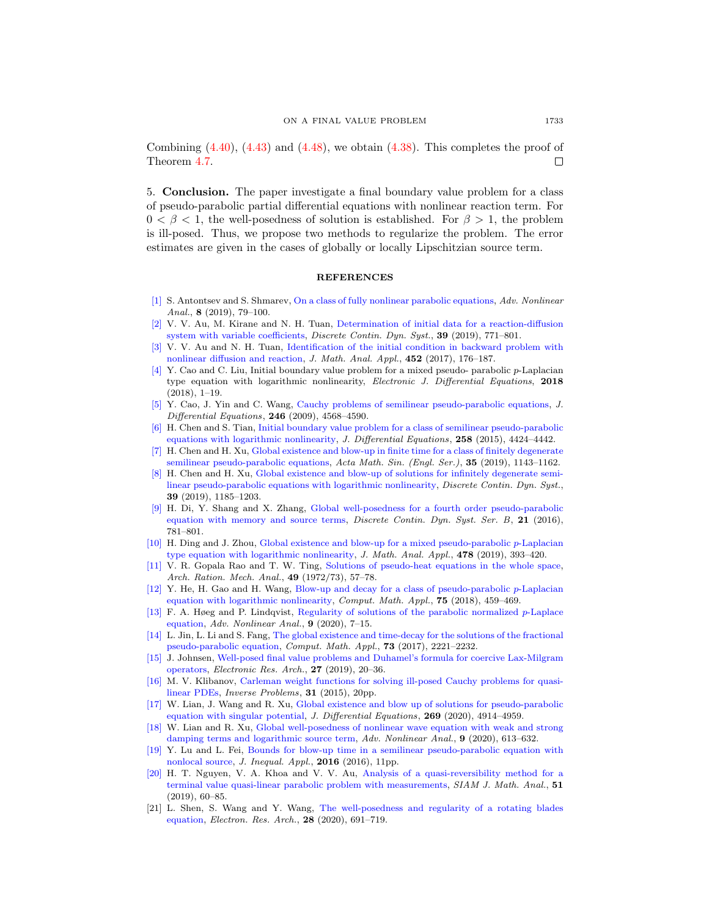Combining  $(4.40)$ ,  $(4.43)$  and  $(4.48)$ , we obtain  $(4.38)$ . This completes the proof of Theorem [4.7.](#page-20-4) □

5. Conclusion. The paper investigate a final boundary value problem for a class of pseudo-parabolic partial differential equations with nonlinear reaction term. For  $0 < \beta < 1$ , the well-posedness of solution is established. For  $\beta > 1$ , the problem is ill-posed. Thus, we propose two methods to regularize the problem. The error estimates are given in the cases of globally or locally Lipschitzian source term.

### REFERENCES

- <span id="page-24-13"></span>[\[1\]](http://www.ams.org/mathscinet-getitem?mr=MR3918368&return=pdf) S. Antontsev and S. Shmarev, [On a class of fully nonlinear parabolic equations,](http://dx.doi.org/10.1515/anona-2016-0055) Adv. Nonlinear Anal.,  $8(2019)$ , 79-100.
- <span id="page-24-16"></span>[\[2\]](http://www.ams.org/mathscinet-getitem?mr=MR3918194&return=pdf) V. V. Au, M. Kirane and N. H. Tuan, [Determination of initial data for a reaction-diffusion](http://dx.doi.org/10.3934/dcds.2019032) [system with variable coefficients,](http://dx.doi.org/10.3934/dcds.2019032) Discrete Contin. Dyn. Syst., 39 (2019), 771-801.
- <span id="page-24-17"></span>[\[3\]](http://www.ams.org/mathscinet-getitem?mr=MR3628013&return=pdf) V. V. Au and N. H. Tuan, [Identification of the initial condition in backward problem with](http://dx.doi.org/10.1016/j.jmaa.2017.02.055) [nonlinear diffusion and reaction,](http://dx.doi.org/10.1016/j.jmaa.2017.02.055) J. Math. Anal. Appl., 452 (2017), 176–187.
- <span id="page-24-6"></span>[\[4\]](http://www.ams.org/mathscinet-getitem?mr=MR3831862&return=pdf) Y. Cao and C. Liu, Initial boundary value problem for a mixed pseudo- parabolic p-Laplacian type equation with logarithmic nonlinearity, Electronic J. Differential Equations, 2018 (2018), 1–19.
- <span id="page-24-2"></span>[\[5\]](http://www.ams.org/mathscinet-getitem?mr=MR2523294&return=pdf) Y. Cao, J. Yin and C. Wang, [Cauchy problems of semilinear pseudo-parabolic equations,](http://dx.doi.org/10.1016/j.jde.2009.03.021) J. Differential Equations, 246 (2009), 4568–4590.
- <span id="page-24-7"></span>[\[6\]](http://www.ams.org/mathscinet-getitem?mr=MR3327559&return=pdf) H. Chen and S. Tian, [Initial boundary value problem for a class of semilinear pseudo-parabolic](http://dx.doi.org/10.1016/j.jde.2015.01.038) [equations with logarithmic nonlinearity,](http://dx.doi.org/10.1016/j.jde.2015.01.038) J. Differential Equations, 258 (2015), 4424-4442.
- <span id="page-24-4"></span>[\[7\]](http://www.ams.org/mathscinet-getitem?mr=MR3961341&return=pdf) H. Chen and H. Xu, [Global existence and blow-up in finite time for a class of finitely degenerate](http://dx.doi.org/10.1007/s10114-019-8037-x) [semilinear pseudo-parabolic equations,](http://dx.doi.org/10.1007/s10114-019-8037-x) Acta Math. Sin. (Engl. Ser.), 35 (2019), 1143-1162.
- <span id="page-24-8"></span>[\[8\]](http://www.ams.org/mathscinet-getitem?mr=MR3918213&return=pdf) H. Chen and H. Xu, [Global existence and blow-up of solutions for infinitely degenerate semi](http://dx.doi.org/10.3934/dcds.2019051)[linear pseudo-parabolic equations with logarithmic nonlinearity,](http://dx.doi.org/10.3934/dcds.2019051) Discrete Contin. Dyn. Syst., 39 (2019), 1185–1203.
- <span id="page-24-11"></span>[\[9\]](http://www.ams.org/mathscinet-getitem?mr=MR3503042&return=pdf) H. Di, Y. Shang and X. Zhang, [Global well-posedness for a fourth order pseudo-parabolic](http://dx.doi.org/10.3934/dcdsb.2016.21.781) [equation with memory and source terms,](http://dx.doi.org/10.3934/dcdsb.2016.21.781) *Discrete Contin. Dyn. Syst. Ser. B*, 21 (2016), 781–801.
- <span id="page-24-5"></span>[\[10\]](http://www.ams.org/mathscinet-getitem?mr=MR3979113&return=pdf) H. Ding and J. Zhou, [Global existence and blow-up for a mixed pseudo-parabolic](http://dx.doi.org/10.1016/j.jmaa.2019.05.018) p-Laplacian [type equation with logarithmic nonlinearity,](http://dx.doi.org/10.1016/j.jmaa.2019.05.018) J. Math. Anal. Appl.,  $478$  (2019), 393-420.
- <span id="page-24-1"></span>[\[11\]](http://www.ams.org/mathscinet-getitem?mr=MR330774&return=pdf) V. R. Gopala Rao and T. W. Ting, [Solutions of pseudo-heat equations in the whole space,](http://dx.doi.org/10.1007/BF00281474) Arch. Ration. Mech. Anal., 49 (1972/73), 57–78.
- <span id="page-24-9"></span>[\[12\]](http://www.ams.org/mathscinet-getitem?mr=MR3765862&return=pdf) Y. He, H. Gao and H. Wang, [Blow-up and decay for a class of pseudo-parabolic](http://dx.doi.org/10.1016/j.camwa.2017.09.027) p-Laplacian [equation with logarithmic nonlinearity,](http://dx.doi.org/10.1016/j.camwa.2017.09.027) Comput. Math. Appl., 75 (2018), 459–469.
- [\[13\]](http://www.ams.org/mathscinet-getitem?mr=MR3935861&return=pdf) F. A. Høeg and P. Lindqvist, [Regularity of solutions of the parabolic normalized](http://dx.doi.org/10.1515/anona-2018-0091) p-Laplace [equation,](http://dx.doi.org/10.1515/anona-2018-0091) Adv. Nonlinear Anal., 9 (2020), 7–15.
- <span id="page-24-12"></span>[\[14\]](http://www.ams.org/mathscinet-getitem?mr=MR3641746&return=pdf) L. Jin, L. Li and S. Fang, [The global existence and time-decay for the solutions of the fractional](http://dx.doi.org/10.1016/j.camwa.2017.03.005) [pseudo-parabolic equation,](http://dx.doi.org/10.1016/j.camwa.2017.03.005) Comput. Math. Appl., 73 (2017), 2221–2232.
- <span id="page-24-14"></span>[\[15\]](http://www.ams.org/mathscinet-getitem?mr=MR4023012&return=pdf) J. Johnsen, [Well-posed final value problems and Duhamel's formula for coercive Lax-Milgram](http://dx.doi.org/10.3934/era.2019008) [operators,](http://dx.doi.org/10.3934/era.2019008) Electronic Res. Arch., 27 (2019), 20–36.
- <span id="page-24-18"></span>[\[16\]](http://www.ams.org/mathscinet-getitem?mr=MR3540314&return=pdf) M. V. Klibanov, [Carleman weight functions for solving ill-posed Cauchy problems for quasi](http://dx.doi.org/10.1088/0266-5611/31/12/125007)[linear PDEs,](http://dx.doi.org/10.1088/0266-5611/31/12/125007) Inverse Problems, 31 (2015), 20pp.
- <span id="page-24-0"></span>[\[17\]](http://www.ams.org/mathscinet-getitem?mr=MR4104462&return=pdf) W. Lian, J. Wang and R. Xu, [Global existence and blow up of solutions for pseudo-parabolic](http://dx.doi.org/10.1016/j.jde.2020.03.047) [equation with singular potential,](http://dx.doi.org/10.1016/j.jde.2020.03.047) J. Differential Equations, 269 (2020), 4914–4959.
- <span id="page-24-3"></span>[\[18\]](http://www.ams.org/mathscinet-getitem?mr=MR3980417&return=pdf) W. Lian and R. Xu, [Global well-posedness of nonlinear wave equation with weak and strong](http://dx.doi.org/10.1515/anona-2020-0016) [damping terms and logarithmic source term,](http://dx.doi.org/10.1515/anona-2020-0016) Adv. Nonlinear Anal., 9 (2020), 613–632.
- <span id="page-24-10"></span>[\[19\]](http://www.ams.org/mathscinet-getitem?mr=MR3549954&return=pdf) Y. Lu and L. Fei, [Bounds for blow-up time in a semilinear pseudo-parabolic equation with](http://dx.doi.org/10.1186/s13660-016-1171-4) [nonlocal source,](http://dx.doi.org/10.1186/s13660-016-1171-4) J. Inequal. Appl., 2016 (2016), 11pp.
- <span id="page-24-19"></span>[\[20\]](http://www.ams.org/mathscinet-getitem?mr=MR3895336&return=pdf) H. T. Nguyen, V. A. Khoa and V. V. Au, [Analysis of a quasi-reversibility method for a](http://dx.doi.org/10.1137/18M1174064) [terminal value quasi-linear parabolic problem with measurements,](http://dx.doi.org/10.1137/18M1174064) SIAM J. Math. Anal., 51 (2019), 60–85.
- <span id="page-24-15"></span>[21] L. Shen, S. Wang and Y. Wang, [The well-posedness and regularity of a rotating blades](http://dx.doi.org/10.3934/era.2020036) [equation,](http://dx.doi.org/10.3934/era.2020036) Electron. Res. Arch., 28 (2020), 691–719.